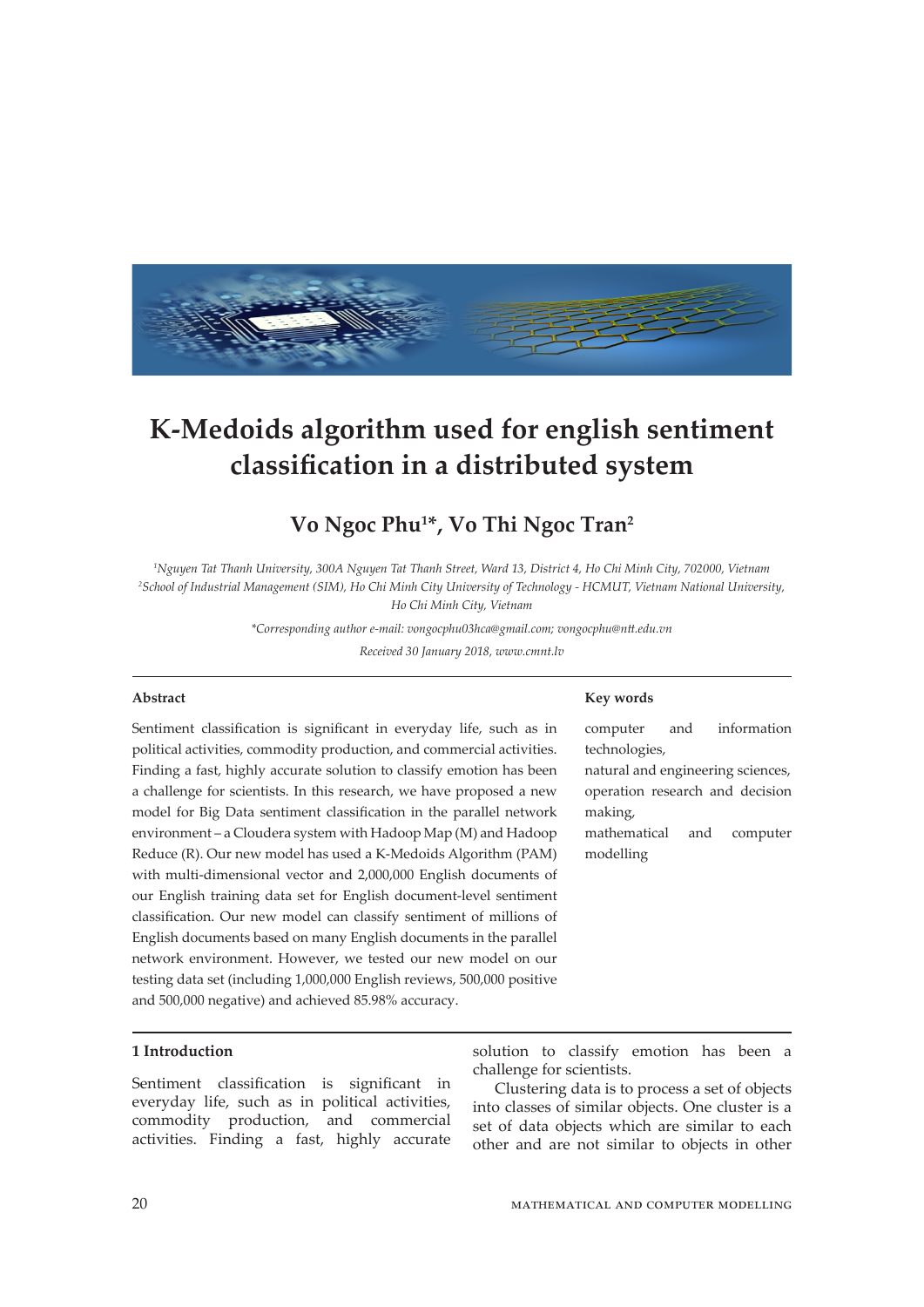

# **K-Medoids algorithm used for english sentiment classification in a distributed system**

## **Vo Ngoc Phu1 \*, Vo Thi Ngoc Tran2**

*1 Nguyen Tat Thanh University, 300A Nguyen Tat Thanh Street, Ward 13, District 4, Ho Chi Minh City, 702000, Vietnam 2 School of Industrial Management (SIM), Ho Chi Minh City University of Technology - HCMUT, Vietnam National University,* 

*Ho Chi Minh City, Vietnam*

*\*Corresponding author e-mail: vongocphu03hca@gmail.com; vongocphu@ntt.edu.vn*

*Received 30 January 2018, www.cmnt.lv*

## **Abstract**

Sentiment classification is significant in everyday life, such as in political activities, commodity production, and commercial activities. Finding a fast, highly accurate solution to classify emotion has been a challenge for scientists. In this research, we have proposed a new model for Big Data sentiment classification in the parallel network environment – a Cloudera system with Hadoop Map (M) and Hadoop Reduce (R). Our new model has used a K-Medoids Algorithm (PAM) with multi-dimensional vector and 2,000,000 English documents of our English training data set for English document-level sentiment classification. Our new model can classify sentiment of millions of English documents based on many English documents in the parallel network environment. However, we tested our new model on our testing data set (including 1,000,000 English reviews, 500,000 positive and 500,000 negative) and achieved 85.98% accuracy.

## **1 Introduction**

Sentiment classification is significant in everyday life, such as in political activities, commodity production, and commercial activities. Finding a fast, highly accurate

**Key words**

computer and information technologies, natural and engineering sciences, operation research and decision making,

mathematical and computer modelling

solution to classify emotion has been a

Clustering data is to process a set of objects into classes of similar objects. One cluster is a set of data objects which are similar to each other and are not similar to objects in other

challenge for scientists.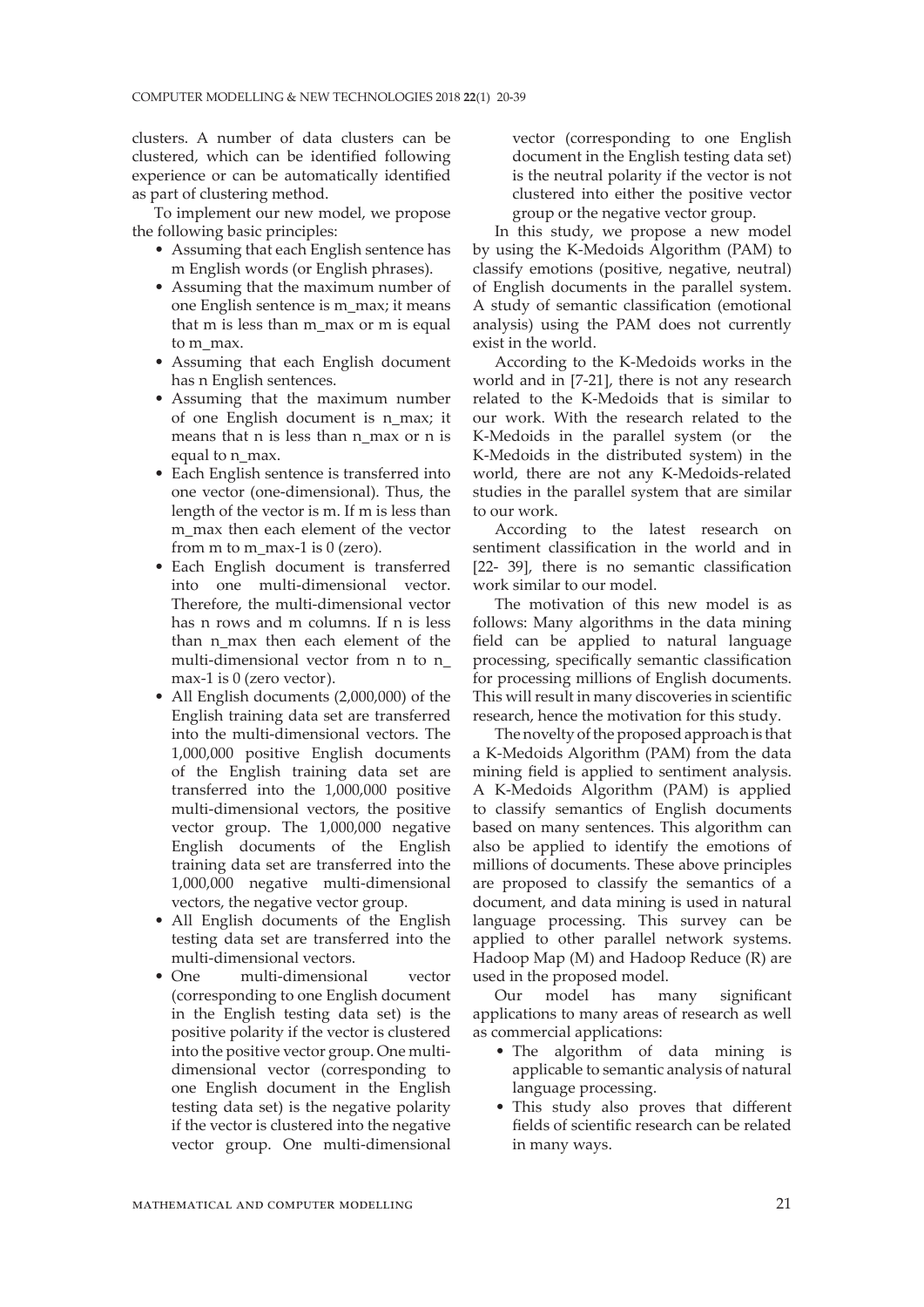clusters. A number of data clusters can be clustered, which can be identified following experience or can be automatically identified as part of clustering method.

To implement our new model, we propose the following basic principles:

- Assuming that each English sentence has m English words (or English phrases).
- Assuming that the maximum number of one English sentence is m\_max; it means that m is less than m\_max or m is equal to m\_max.
- Assuming that each English document has n English sentences.
- Assuming that the maximum number of one English document is n\_max; it means that n is less than n\_max or n is equal to n\_max.
- Each English sentence is transferred into one vector (one-dimensional). Thus, the length of the vector is m. If m is less than m\_max then each element of the vector from m to m\_max-1 is  $0$  (zero).
- Each English document is transferred into one multi-dimensional vector. Therefore, the multi-dimensional vector has n rows and m columns. If n is less than n max then each element of the multi-dimensional vector from n to n\_ max-1 is 0 (zero vector).
- All English documents (2,000,000) of the English training data set are transferred into the multi-dimensional vectors. The 1,000,000 positive English documents of the English training data set are transferred into the 1,000,000 positive multi-dimensional vectors, the positive vector group. The 1,000,000 negative English documents of the English training data set are transferred into the 1,000,000 negative multi-dimensional vectors, the negative vector group.
- All English documents of the English testing data set are transferred into the multi-dimensional vectors.
- One multi-dimensional vector (corresponding to one English document in the English testing data set) is the positive polarity if the vector is clustered into the positive vector group. One multidimensional vector (corresponding to one English document in the English testing data set) is the negative polarity if the vector is clustered into the negative vector group. One multi-dimensional

vector (corresponding to one English document in the English testing data set) is the neutral polarity if the vector is not clustered into either the positive vector group or the negative vector group.

In this study, we propose a new model by using the K-Medoids Algorithm (PAM) to classify emotions (positive, negative, neutral) of English documents in the parallel system. A study of semantic classification (emotional analysis) using the PAM does not currently exist in the world.

According to the K-Medoids works in the world and in [7-21], there is not any research related to the K-Medoids that is similar to our work. With the research related to the K-Medoids in the parallel system (or the K-Medoids in the distributed system) in the world, there are not any K-Medoids-related studies in the parallel system that are similar to our work.

According to the latest research on sentiment classification in the world and in [22- 39], there is no semantic classification work similar to our model.

The motivation of this new model is as follows: Many algorithms in the data mining field can be applied to natural language processing, specifically semantic classification for processing millions of English documents. This will result in many discoveries in scientific research, hence the motivation for this study.

The novelty of the proposed approach is that a K-Medoids Algorithm (PAM) from the data mining field is applied to sentiment analysis. A K-Medoids Algorithm (PAM) is applied to classify semantics of English documents based on many sentences. This algorithm can also be applied to identify the emotions of millions of documents. These above principles are proposed to classify the semantics of a document, and data mining is used in natural language processing. This survey can be applied to other parallel network systems. Hadoop Map (M) and Hadoop Reduce (R) are used in the proposed model.

Our model has many significant applications to many areas of research as well as commercial applications:

- The algorithm of data mining is applicable to semantic analysis of natural language processing.
- This study also proves that different fields of scientific research can be related in many ways.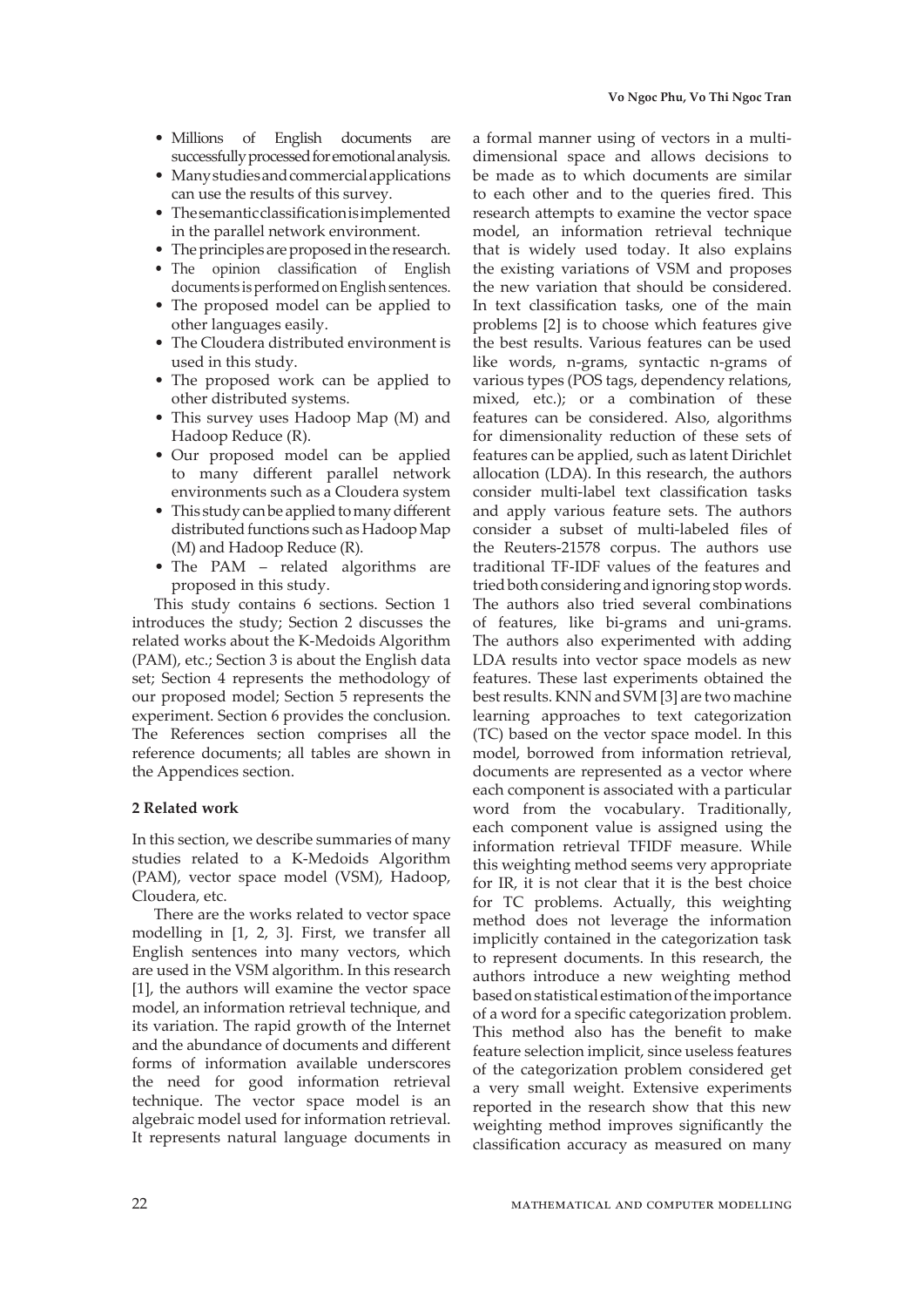- Millions of English documents are successfully processed for emotional analysis.
- Many studies and commercial applications can use the results of this survey.
- The semantic classification is implemented in the parallel network environment.
- The principles are proposed in the research.
- The opinion classification of English documents is performed on English sentences.
- The proposed model can be applied to other languages easily.
- The Cloudera distributed environment is used in this study.
- The proposed work can be applied to other distributed systems.
- This survey uses Hadoop Map (M) and Hadoop Reduce (R).
- Our proposed model can be applied to many different parallel network environments such as a Cloudera system
- This study can be applied to many different distributed functions such as Hadoop Map (M) and Hadoop Reduce (R).
- The PAM related algorithms are proposed in this study.

This study contains 6 sections. Section 1 introduces the study; Section 2 discusses the related works about the K-Medoids Algorithm (PAM), etc.; Section 3 is about the English data set; Section 4 represents the methodology of our proposed model; Section 5 represents the experiment. Section 6 provides the conclusion. The References section comprises all the reference documents; all tables are shown in the Appendices section.

#### **2 Related work**

In this section, we describe summaries of many studies related to a K-Medoids Algorithm (PAM), vector space model (VSM), Hadoop, Cloudera, etc.

There are the works related to vector space modelling in [1, 2, 3]. First, we transfer all English sentences into many vectors, which are used in the VSM algorithm. In this research [1], the authors will examine the vector space model, an information retrieval technique, and its variation. The rapid growth of the Internet and the abundance of documents and different forms of information available underscores the need for good information retrieval technique. The vector space model is an algebraic model used for information retrieval. It represents natural language documents in

a formal manner using of vectors in a multidimensional space and allows decisions to be made as to which documents are similar to each other and to the queries fired. This research attempts to examine the vector space model, an information retrieval technique that is widely used today. It also explains the existing variations of VSM and proposes the new variation that should be considered. In text classification tasks, one of the main problems [2] is to choose which features give the best results. Various features can be used like words, n-grams, syntactic n-grams of various types (POS tags, dependency relations, mixed, etc.); or a combination of these features can be considered. Also, algorithms for dimensionality reduction of these sets of features can be applied, such as latent Dirichlet allocation (LDA). In this research, the authors consider multi-label text classification tasks and apply various feature sets. The authors consider a subset of multi-labeled files of the Reuters-21578 corpus. The authors use traditional TF-IDF values of the features and tried both considering and ignoring stop words. The authors also tried several combinations of features, like bi-grams and uni-grams. The authors also experimented with adding LDA results into vector space models as new features. These last experiments obtained the best results. KNN and SVM [3] are two machine learning approaches to text categorization (TC) based on the vector space model. In this model, borrowed from information retrieval, documents are represented as a vector where each component is associated with a particular word from the vocabulary. Traditionally, each component value is assigned using the information retrieval TFIDF measure. While this weighting method seems very appropriate for IR, it is not clear that it is the best choice for TC problems. Actually, this weighting method does not leverage the information implicitly contained in the categorization task to represent documents. In this research, the authors introduce a new weighting method based on statistical estimation of the importance of a word for a specific categorization problem. This method also has the benefit to make feature selection implicit, since useless features of the categorization problem considered get a very small weight. Extensive experiments reported in the research show that this new weighting method improves significantly the classification accuracy as measured on many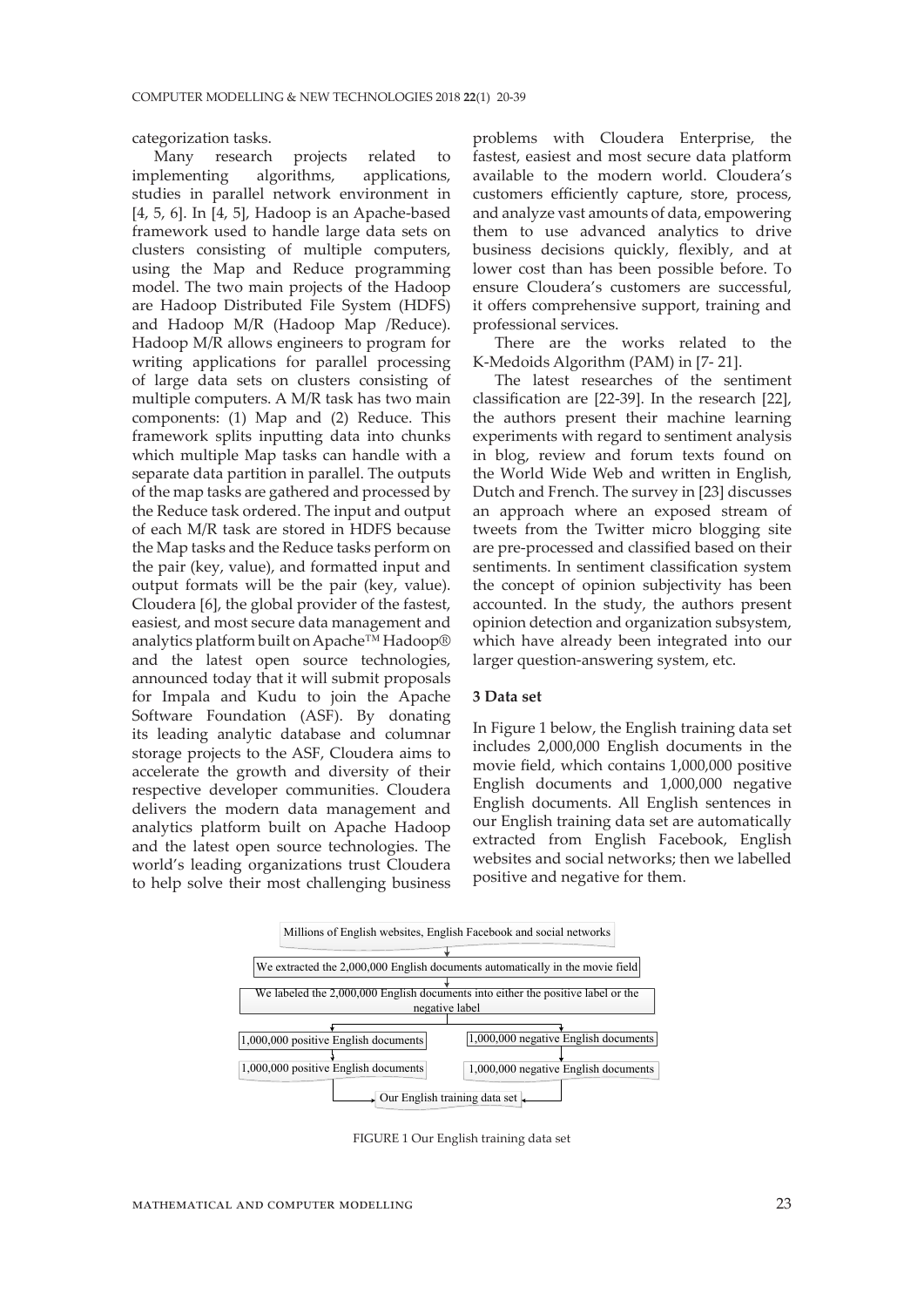categorization tasks.

Many research projects related to implementing algorithms, applications, studies in parallel network environment in [4, 5, 6]. In [4, 5], Hadoop is an Apache-based framework used to handle large data sets on clusters consisting of multiple computers, using the Map and Reduce programming model. The two main projects of the Hadoop are Hadoop Distributed File System (HDFS) and Hadoop M/R (Hadoop Map /Reduce). Hadoop M/R allows engineers to program for writing applications for parallel processing of large data sets on clusters consisting of multiple computers. A M/R task has two main components: (1) Map and (2) Reduce. This framework splits inputting data into chunks which multiple Map tasks can handle with a separate data partition in parallel. The outputs of the map tasks are gathered and processed by the Reduce task ordered. The input and output of each M/R task are stored in HDFS because the Map tasks and the Reduce tasks perform on the pair (key, value), and formatted input and output formats will be the pair (key, value). Cloudera [6], the global provider of the fastest, easiest, and most secure data management and analytics platform built on Apache™ Hadoop® and the latest open source technologies, announced today that it will submit proposals for Impala and Kudu to join the Apache Software Foundation (ASF). By donating its leading analytic database and columnar storage projects to the ASF, Cloudera aims to accelerate the growth and diversity of their respective developer communities. Cloudera delivers the modern data management and analytics platform built on Apache Hadoop and the latest open source technologies. The world's leading organizations trust Cloudera to help solve their most challenging business

problems with Cloudera Enterprise, the fastest, easiest and most secure data platform available to the modern world. Cloudera's customers efficiently capture, store, process, and analyze vast amounts of data, empowering them to use advanced analytics to drive business decisions quickly, flexibly, and at lower cost than has been possible before. To ensure Cloudera's customers are successful, it offers comprehensive support, training and professional services.

There are the works related to the K-Medoids Algorithm (PAM) in [7- 21].

The latest researches of the sentiment classification are [22-39]. In the research [22], the authors present their machine learning experiments with regard to sentiment analysis in blog, review and forum texts found on the World Wide Web and written in English, Dutch and French. The survey in [23] discusses an approach where an exposed stream of tweets from the Twitter micro blogging site are pre-processed and classified based on their sentiments. In sentiment classification system the concept of opinion subjectivity has been accounted. In the study, the authors present opinion detection and organization subsystem, which have already been integrated into our larger question-answering system, etc.

## **3 Data set**

In Figure 1 below, the English training data set includes 2,000,000 English documents in the movie field, which contains 1,000,000 positive English documents and 1,000,000 negative English documents. All English sentences in our English training data set are automatically extracted from English Facebook, English websites and social networks; then we labelled positive and negative for them.



FIGURE 1 Our English training data set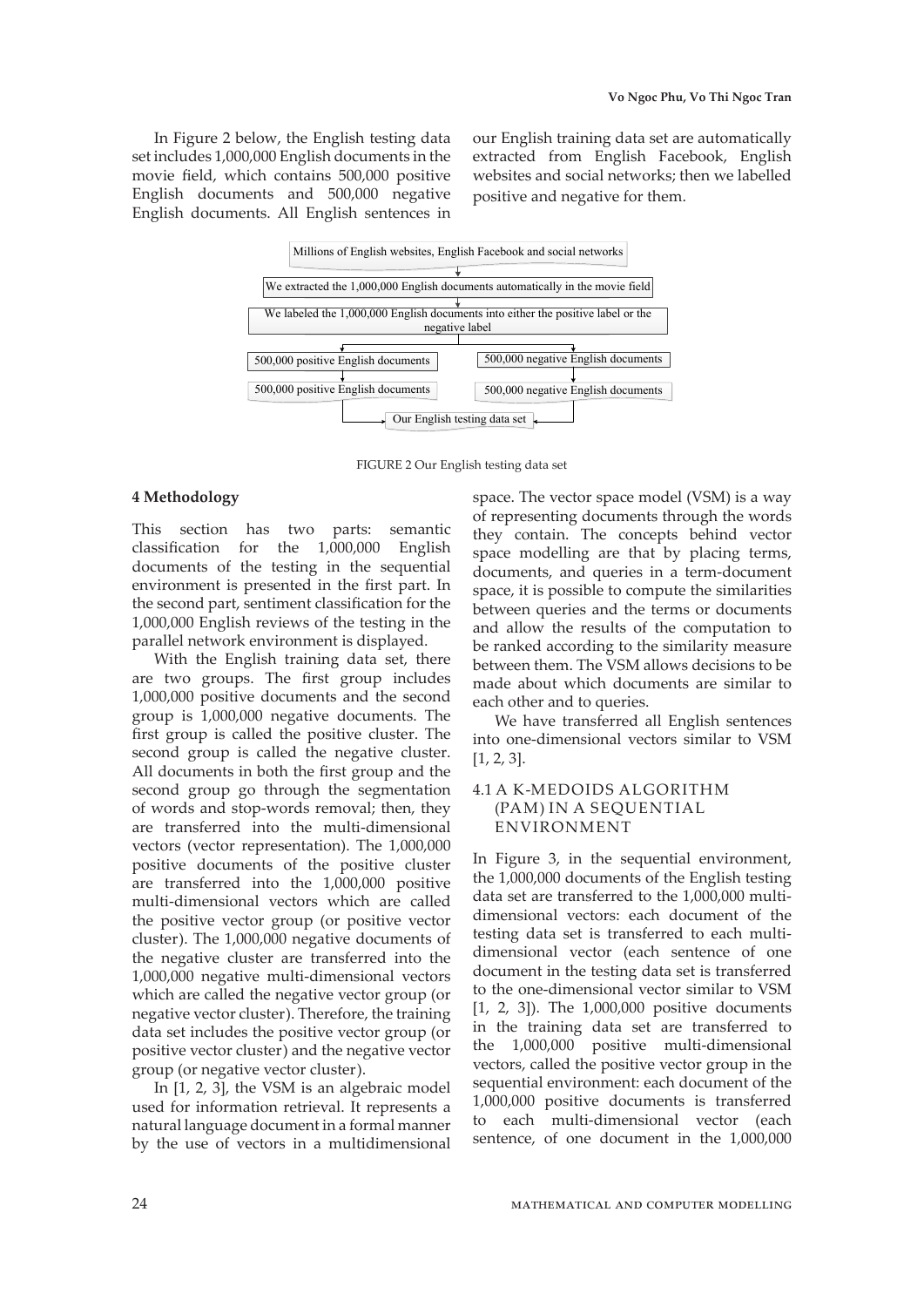In Figure 2 below, the English testing data set includes 1,000,000 English documents in the movie field, which contains 500,000 positive English documents and 500,000 negative English documents. All English sentences in our English training data set are automatically extracted from English Facebook, English websites and social networks; then we labelled positive and negative for them.



FIGURE 2 Our English testing data set

## **4 Methodology**

This section has two parts: semantic classification for the 1,000,000 English documents of the testing in the sequential environment is presented in the first part. In the second part, sentiment classification for the 1,000,000 English reviews of the testing in the parallel network environment is displayed.

With the English training data set, there are two groups. The first group includes 1,000,000 positive documents and the second group is 1,000,000 negative documents. The first group is called the positive cluster. The second group is called the negative cluster. All documents in both the first group and the second group go through the segmentation of words and stop-words removal; then, they are transferred into the multi-dimensional vectors (vector representation). The 1,000,000 positive documents of the positive cluster are transferred into the 1,000,000 positive multi-dimensional vectors which are called the positive vector group (or positive vector cluster). The 1,000,000 negative documents of the negative cluster are transferred into the 1,000,000 negative multi-dimensional vectors which are called the negative vector group (or negative vector cluster). Therefore, the training data set includes the positive vector group (or positive vector cluster) and the negative vector group (or negative vector cluster).

In [1, 2, 3], the VSM is an algebraic model used for information retrieval. It represents a natural language document in a formal manner by the use of vectors in a multidimensional space. The vector space model (VSM) is a way of representing documents through the words they contain. The concepts behind vector space modelling are that by placing terms, documents, and queries in a term-document space, it is possible to compute the similarities between queries and the terms or documents and allow the results of the computation to be ranked according to the similarity measure between them. The VSM allows decisions to be made about which documents are similar to each other and to queries.

We have transferred all English sentences into one-dimensional vectors similar to VSM [1, 2, 3].

## 4.1 A K-MEDOIDS ALGORITHM (PAM) IN A SEQUENTIAL ENVIRONMENT

In Figure 3, in the sequential environment, the 1,000,000 documents of the English testing data set are transferred to the 1,000,000 multidimensional vectors: each document of the testing data set is transferred to each multidimensional vector (each sentence of one document in the testing data set is transferred to the one-dimensional vector similar to VSM [1, 2, 3]). The 1,000,000 positive documents in the training data set are transferred to the 1,000,000 positive multi-dimensional vectors, called the positive vector group in the sequential environment: each document of the 1,000,000 positive documents is transferred to each multi-dimensional vector (each sentence, of one document in the 1,000,000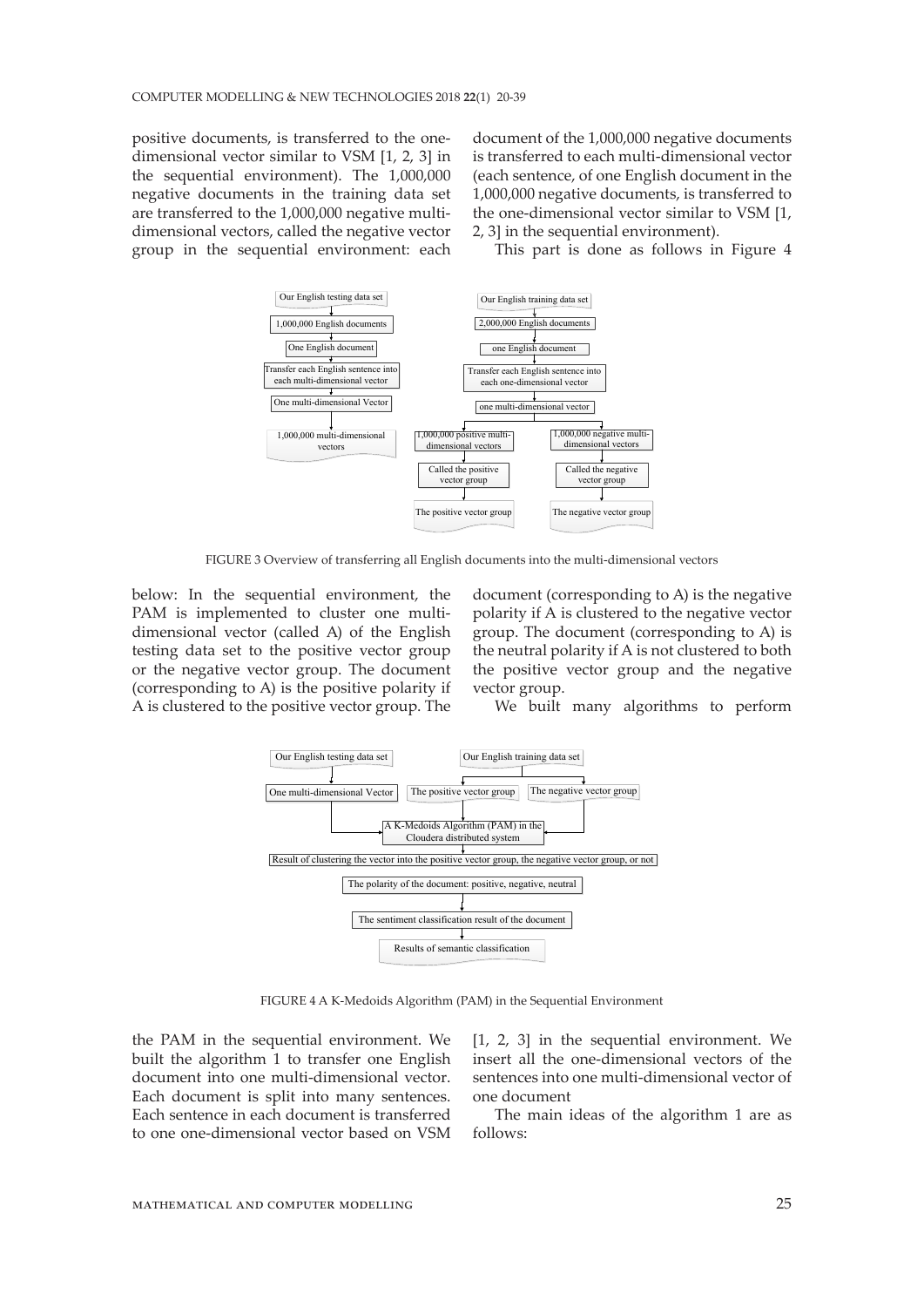positive documents, is transferred to the onedimensional vector similar to VSM [1, 2, 3] in the sequential environment). The 1,000,000 negative documents in the training data set are transferred to the 1,000,000 negative multidimensional vectors, called the negative vector group in the sequential environment: each

document of the 1,000,000 negative documents is transferred to each multi-dimensional vector (each sentence, of one English document in the 1,000,000 negative documents, is transferred to the one-dimensional vector similar to VSM [1, 2, 3] in the sequential environment).

This part is done as follows in Figure 4



FIGURE 3 Overview of transferring all English documents into the multi-dimensional vectors

below: In the sequential environment, the PAM is implemented to cluster one multidimensional vector (called A) of the English testing data set to the positive vector group or the negative vector group. The document (corresponding to A) is the positive polarity if A is clustered to the positive vector group. The

document (corresponding to A) is the negative polarity if A is clustered to the negative vector group. The document (corresponding to A) is the neutral polarity if A is not clustered to both the positive vector group and the negative vector group.

We built many algorithms to perform



FIGURE 4 A K-Medoids Algorithm (PAM) in the Sequential Environment

the PAM in the sequential environment. We built the algorithm 1 to transfer one English document into one multi-dimensional vector. Each document is split into many sentences. Each sentence in each document is transferred to one one-dimensional vector based on VSM [1, 2, 3] in the sequential environment. We insert all the one-dimensional vectors of the sentences into one multi-dimensional vector of one document

The main ideas of the algorithm 1 are as follows: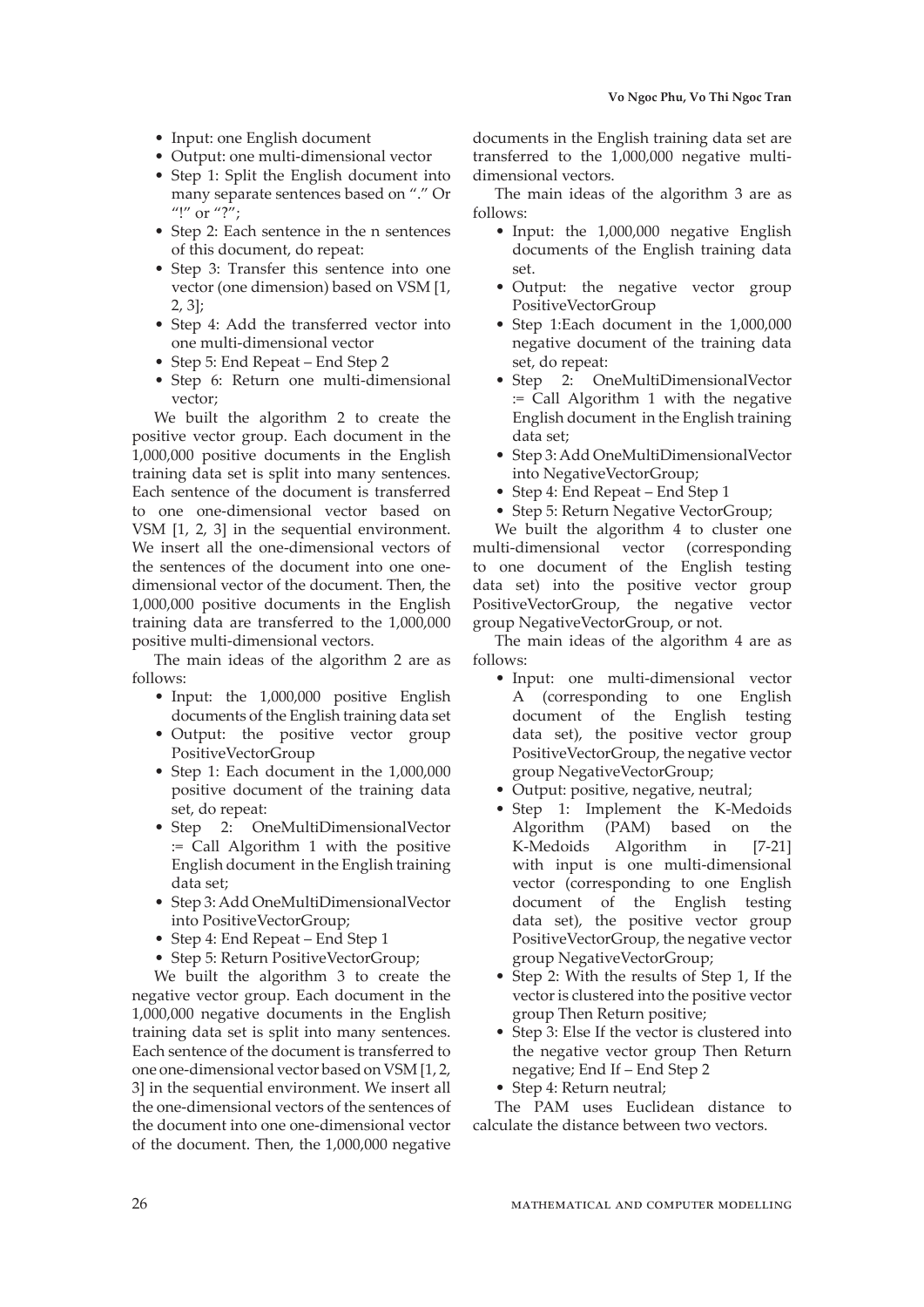- Input: one English document
- Output: one multi-dimensional vector
- Step 1: Split the English document into many separate sentences based on "." Or "!" or "?";
- Step 2: Each sentence in the n sentences of this document, do repeat:
- Step 3: Transfer this sentence into one vector (one dimension) based on VSM [1, 2, 3];
- Step 4: Add the transferred vector into one multi-dimensional vector
- Step 5: End Repeat End Step 2
- Step 6: Return one multi-dimensional vector;

We built the algorithm 2 to create the positive vector group. Each document in the 1,000,000 positive documents in the English training data set is split into many sentences. Each sentence of the document is transferred to one one-dimensional vector based on VSM [1, 2, 3] in the sequential environment. We insert all the one-dimensional vectors of the sentences of the document into one onedimensional vector of the document. Then, the 1,000,000 positive documents in the English training data are transferred to the 1,000,000 positive multi-dimensional vectors.

The main ideas of the algorithm 2 are as follows:

- Input: the 1,000,000 positive English documents of the English training data set
- Output: the positive vector group PositiveVectorGroup
- Step 1: Each document in the 1,000,000 positive document of the training data set, do repeat:
- Step 2: OneMultiDimensionalVector := Call Algorithm 1 with the positive English document in the English training data set;
- Step 3: Add OneMultiDimensionalVector into PositiveVectorGroup;
- Step 4: End Repeat End Step 1
- Step 5: Return PositiveVectorGroup;

We built the algorithm 3 to create the negative vector group. Each document in the 1,000,000 negative documents in the English training data set is split into many sentences. Each sentence of the document is transferred to one one-dimensional vector based on VSM [1, 2, 3] in the sequential environment. We insert all the one-dimensional vectors of the sentences of the document into one one-dimensional vector of the document. Then, the 1,000,000 negative

documents in the English training data set are transferred to the 1,000,000 negative multidimensional vectors.

The main ideas of the algorithm 3 are as follows:

- Input: the 1,000,000 negative English documents of the English training data set.
- Output: the negative vector group PositiveVectorGroup
- Step 1:Each document in the 1,000,000 negative document of the training data set, do repeat:
- Step 2: OneMultiDimensionalVector := Call Algorithm 1 with the negative English document in the English training data set;
- Step 3: Add OneMultiDimensionalVector into NegativeVectorGroup;
- Step 4: End Repeat End Step 1
- Step 5: Return Negative VectorGroup;

We built the algorithm 4 to cluster one multi-dimensional vector (corresponding to one document of the English testing data set) into the positive vector group PositiveVectorGroup, the negative vector group NegativeVectorGroup, or not.

The main ideas of the algorithm 4 are as follows:

- Input: one multi-dimensional vector A (corresponding to one English document of the English testing data set), the positive vector group PositiveVectorGroup, the negative vector group NegativeVectorGroup;
- Output: positive, negative, neutral;
- Step 1: Implement the K-Medoids Algorithm (PAM) based on the K-Medoids Algorithm in [7-21] with input is one multi-dimensional vector (corresponding to one English document of the English testing data set), the positive vector group PositiveVectorGroup, the negative vector group NegativeVectorGroup;
- Step 2: With the results of Step 1, If the vector is clustered into the positive vector group Then Return positive;
- Step 3: Else If the vector is clustered into the negative vector group Then Return negative; End If – End Step 2
- Step 4: Return neutral;

The PAM uses Euclidean distance to calculate the distance between two vectors.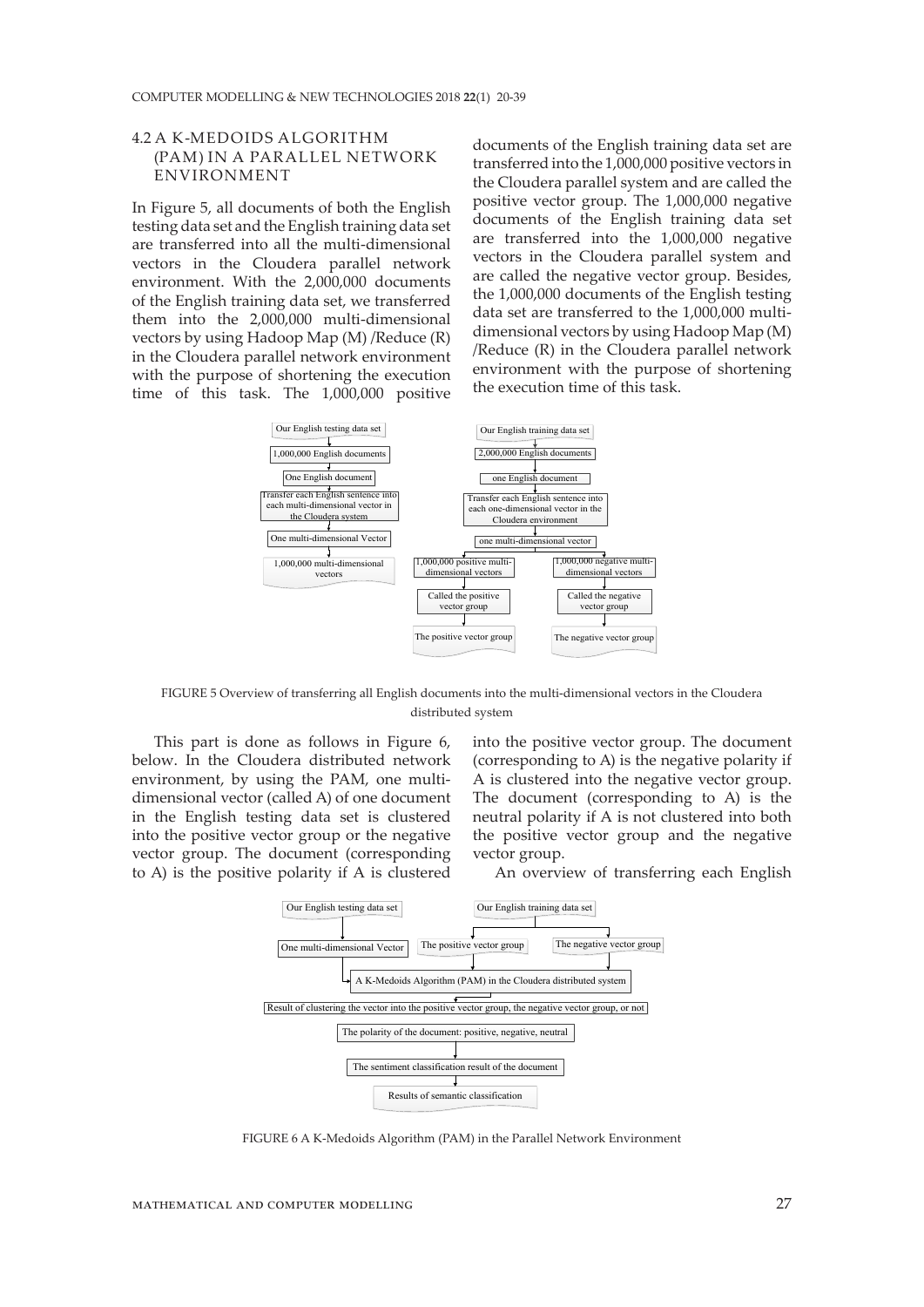## 4.2 A K-MEDOIDS ALGORITHM (PAM) IN A PARALLEL NETWORK ENVIRONMENT

In Figure 5, all documents of both the English testing data set and the English training data set are transferred into all the multi-dimensional vectors in the Cloudera parallel network environment. With the 2,000,000 documents of the English training data set, we transferred them into the 2,000,000 multi-dimensional vectors by using Hadoop Map (M) /Reduce (R) in the Cloudera parallel network environment with the purpose of shortening the execution time of this task. The 1,000,000 positive

documents of the English training data set are transferred into the 1,000,000 positive vectors in the Cloudera parallel system and are called the positive vector group. The 1,000,000 negative documents of the English training data set are transferred into the 1,000,000 negative vectors in the Cloudera parallel system and are called the negative vector group. Besides, the 1,000,000 documents of the English testing data set are transferred to the 1,000,000 multidimensional vectors by using Hadoop Map (M) /Reduce (R) in the Cloudera parallel network environment with the purpose of shortening the execution time of this task.



FIGURE 5 Overview of transferring all English documents into the multi-dimensional vectors in the Cloudera distributed system

This part is done as follows in Figure 6, below. In the Cloudera distributed network environment, by using the PAM, one multidimensional vector (called A) of one document in the English testing data set is clustered into the positive vector group or the negative vector group. The document (corresponding to A) is the positive polarity if A is clustered

into the positive vector group. The document (corresponding to A) is the negative polarity if A is clustered into the negative vector group. The document (corresponding to A) is the neutral polarity if A is not clustered into both the positive vector group and the negative vector group.

An overview of transferring each English



FIGURE 6 A K-Medoids Algorithm (PAM) in the Parallel Network Environment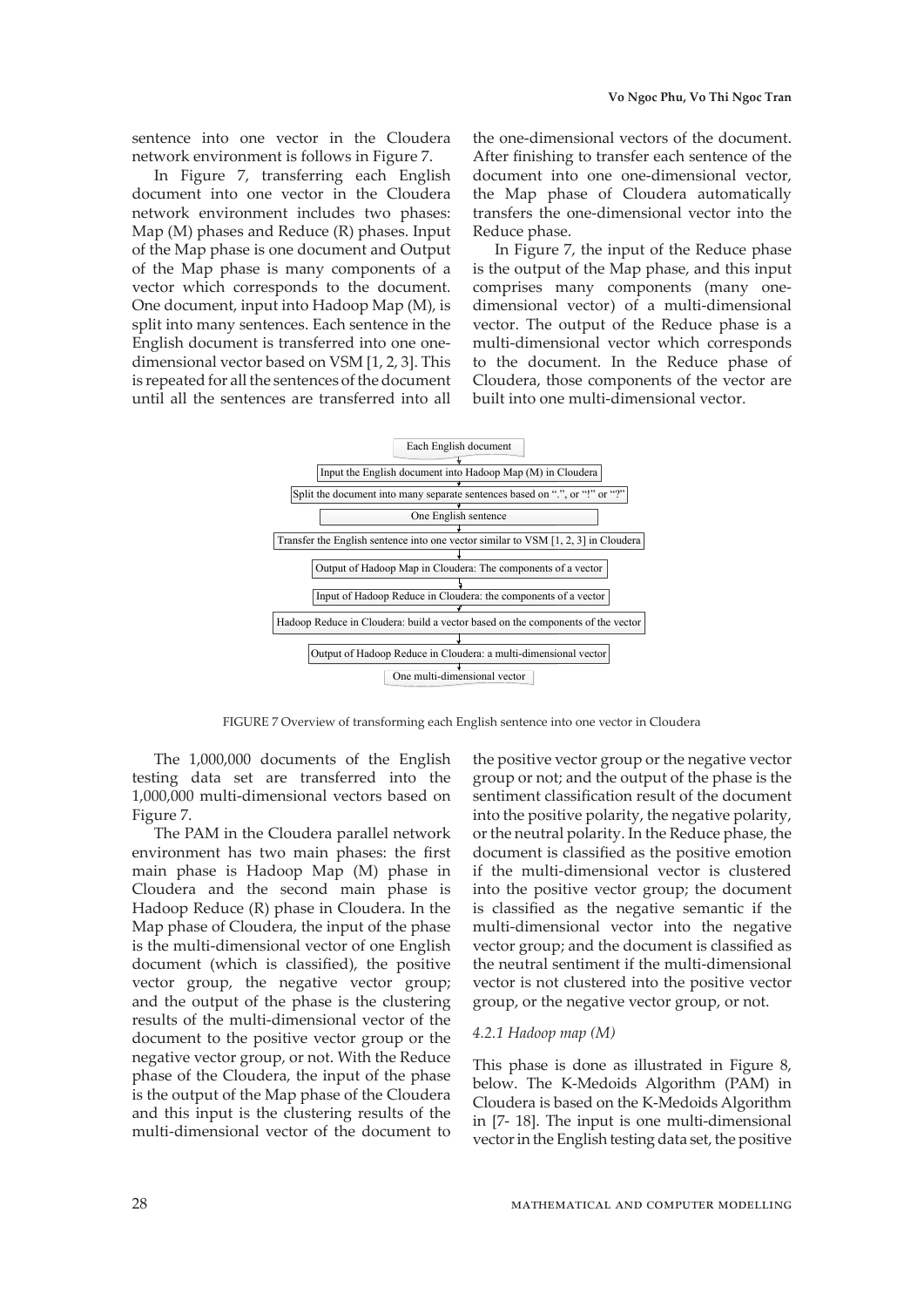sentence into one vector in the Cloudera network environment is follows in Figure 7.

In Figure 7, transferring each English document into one vector in the Cloudera network environment includes two phases: Map (M) phases and Reduce (R) phases. Input of the Map phase is one document and Output of the Map phase is many components of a vector which corresponds to the document. One document, input into Hadoop Map (M), is split into many sentences. Each sentence in the English document is transferred into one onedimensional vector based on VSM [1, 2, 3]. This is repeated for all the sentences of the document until all the sentences are transferred into all

the one-dimensional vectors of the document. After finishing to transfer each sentence of the document into one one-dimensional vector, the Map phase of Cloudera automatically transfers the one-dimensional vector into the Reduce phase.

In Figure 7, the input of the Reduce phase is the output of the Map phase, and this input comprises many components (many onedimensional vector) of a multi-dimensional vector. The output of the Reduce phase is a multi-dimensional vector which corresponds to the document. In the Reduce phase of Cloudera, those components of the vector are built into one multi-dimensional vector.



FIGURE 7 Overview of transforming each English sentence into one vector in Cloudera

The 1,000,000 documents of the English testing data set are transferred into the 1,000,000 multi-dimensional vectors based on Figure 7.

The PAM in the Cloudera parallel network environment has two main phases: the first main phase is Hadoop Map (M) phase in Cloudera and the second main phase is Hadoop Reduce (R) phase in Cloudera. In the Map phase of Cloudera, the input of the phase is the multi-dimensional vector of one English document (which is classified), the positive vector group, the negative vector group; and the output of the phase is the clustering results of the multi-dimensional vector of the document to the positive vector group or the negative vector group, or not. With the Reduce phase of the Cloudera, the input of the phase is the output of the Map phase of the Cloudera and this input is the clustering results of the multi-dimensional vector of the document to

the positive vector group or the negative vector group or not; and the output of the phase is the sentiment classification result of the document into the positive polarity, the negative polarity, or the neutral polarity. In the Reduce phase, the document is classified as the positive emotion if the multi-dimensional vector is clustered into the positive vector group; the document is classified as the negative semantic if the multi-dimensional vector into the negative vector group; and the document is classified as the neutral sentiment if the multi-dimensional vector is not clustered into the positive vector group, or the negative vector group, or not.

#### *4.2.1 Hadoop map (M)*

This phase is done as illustrated in Figure 8, below. The K-Medoids Algorithm (PAM) in Cloudera is based on the K-Medoids Algorithm in [7- 18]. The input is one multi-dimensional vector in the English testing data set, the positive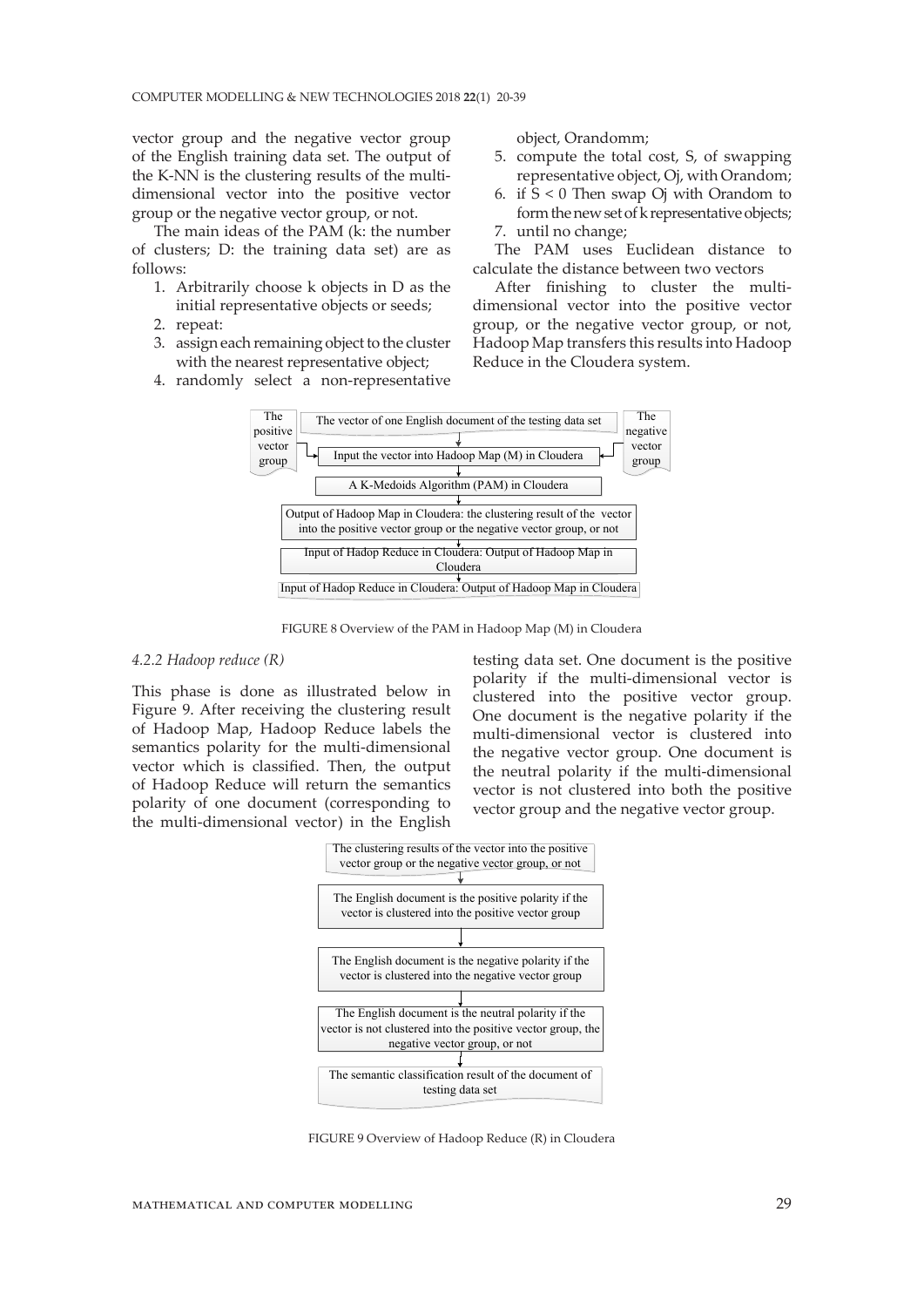vector group and the negative vector group of the English training data set. The output of the K-NN is the clustering results of the multidimensional vector into the positive vector group or the negative vector group, or not.

The main ideas of the PAM (k: the number of clusters; D: the training data set) are as follows:

- 1. Arbitrarily choose k objects in D as the initial representative objects or seeds;
- 2. repeat:
- 3. assign each remaining object to the cluster with the nearest representative object;
- 4. randomly select a non-representative

object, Orandomm;

- 5. compute the total cost, S, of swapping representative object, Oj, with Orandom;
- 6. if S < 0 Then swap Oj with Orandom to form the new set of k representative objects;
- 7. until no change;

The PAM uses Euclidean distance to calculate the distance between two vectors

After finishing to cluster the multidimensional vector into the positive vector group, or the negative vector group, or not, Hadoop Map transfers this results into Hadoop Reduce in the Cloudera system.



FIGURE 8 Overview of the PAM in Hadoop Map (M) in Cloudera

#### *4.2.2 Hadoop reduce (R)*

This phase is done as illustrated below in Figure 9. After receiving the clustering result of Hadoop Map, Hadoop Reduce labels the semantics polarity for the multi-dimensional vector which is classified. Then, the output of Hadoop Reduce will return the semantics polarity of one document (corresponding to the multi-dimensional vector) in the English

testing data set. One document is the positive polarity if the multi-dimensional vector is clustered into the positive vector group. One document is the negative polarity if the multi-dimensional vector is clustered into the negative vector group. One document is the neutral polarity if the multi-dimensional vector is not clustered into both the positive vector group and the negative vector group.



FIGURE 9 Overview of Hadoop Reduce (R) in Cloudera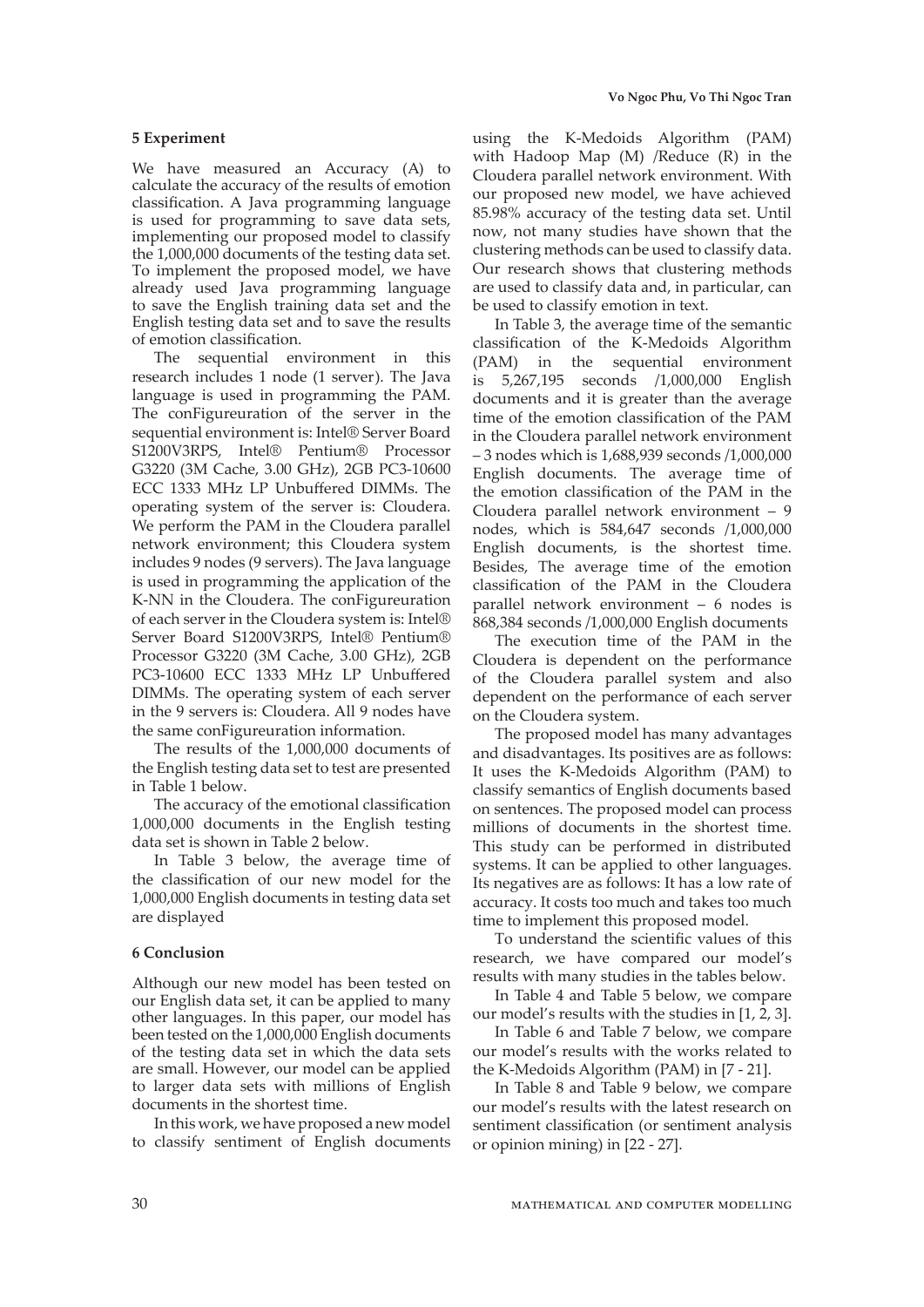#### **5 Experiment**

We have measured an Accuracy (A) to calculate the accuracy of the results of emotion classification. A Java programming language is used for programming to save data sets, implementing our proposed model to classify the 1,000,000 documents of the testing data set. To implement the proposed model, we have already used Java programming language to save the English training data set and the English testing data set and to save the results of emotion classification.

The sequential environment in this research includes 1 node (1 server). The Java language is used in programming the PAM. The conFigureuration of the server in the sequential environment is: Intel® Server Board S1200V3RPS, Intel® Pentium® Processor G3220 (3M Cache, 3.00 GHz), 2GB PC3-10600 ECC 1333 MHz LP Unbuffered DIMMs. The operating system of the server is: Cloudera. We perform the PAM in the Cloudera parallel network environment; this Cloudera system includes 9 nodes (9 servers). The Java language is used in programming the application of the K-NN in the Cloudera. The conFigureuration of each server in the Cloudera system is: Intel® Server Board S1200V3RPS, Intel® Pentium® Processor G3220 (3M Cache, 3.00 GHz), 2GB PC3-10600 ECC 1333 MHz LP Unbuffered DIMMs. The operating system of each server in the 9 servers is: Cloudera. All 9 nodes have the same conFigureuration information.

The results of the 1,000,000 documents of the English testing data set to test are presented in Table 1 below.

The accuracy of the emotional classification 1,000,000 documents in the English testing data set is shown in Table 2 below.

In Table 3 below, the average time of the classification of our new model for the 1,000,000 English documents in testing data set are displayed

#### **6 Conclusion**

Although our new model has been tested on our English data set, it can be applied to many other languages. In this paper, our model has been tested on the 1,000,000 English documents of the testing data set in which the data sets are small. However, our model can be applied to larger data sets with millions of English documents in the shortest time.

In this work, we have proposed a new model to classify sentiment of English documents

using the K-Medoids Algorithm (PAM) with Hadoop Map  $(M)$  /Reduce  $(R)$  in the Cloudera parallel network environment. With our proposed new model, we have achieved 85.98% accuracy of the testing data set. Until now, not many studies have shown that the clustering methods can be used to classify data. Our research shows that clustering methods are used to classify data and, in particular, can be used to classify emotion in text.

In Table 3, the average time of the semantic classification of the K-Medoids Algorithm (PAM) in the sequential environment is 5,267,195 seconds /1,000,000 English documents and it is greater than the average time of the emotion classification of the PAM in the Cloudera parallel network environment – 3 nodes which is 1,688,939 seconds /1,000,000 English documents. The average time of the emotion classification of the PAM in the Cloudera parallel network environment – 9 nodes, which is 584,647 seconds /1,000,000 English documents, is the shortest time. Besides, The average time of the emotion classification of the PAM in the Cloudera parallel network environment – 6 nodes is 868,384 seconds /1,000,000 English documents

The execution time of the PAM in the Cloudera is dependent on the performance of the Cloudera parallel system and also dependent on the performance of each server on the Cloudera system.

The proposed model has many advantages and disadvantages. Its positives are as follows: It uses the K-Medoids Algorithm (PAM) to classify semantics of English documents based on sentences. The proposed model can process millions of documents in the shortest time. This study can be performed in distributed systems. It can be applied to other languages. Its negatives are as follows: It has a low rate of accuracy. It costs too much and takes too much time to implement this proposed model.

To understand the scientific values of this research, we have compared our model's results with many studies in the tables below.

In Table 4 and Table 5 below, we compare our model's results with the studies in [1, 2, 3].

In Table 6 and Table 7 below, we compare our model's results with the works related to the K-Medoids Algorithm (PAM) in [7 - 21].

In Table 8 and Table 9 below, we compare our model's results with the latest research on sentiment classification (or sentiment analysis or opinion mining) in [22 - 27].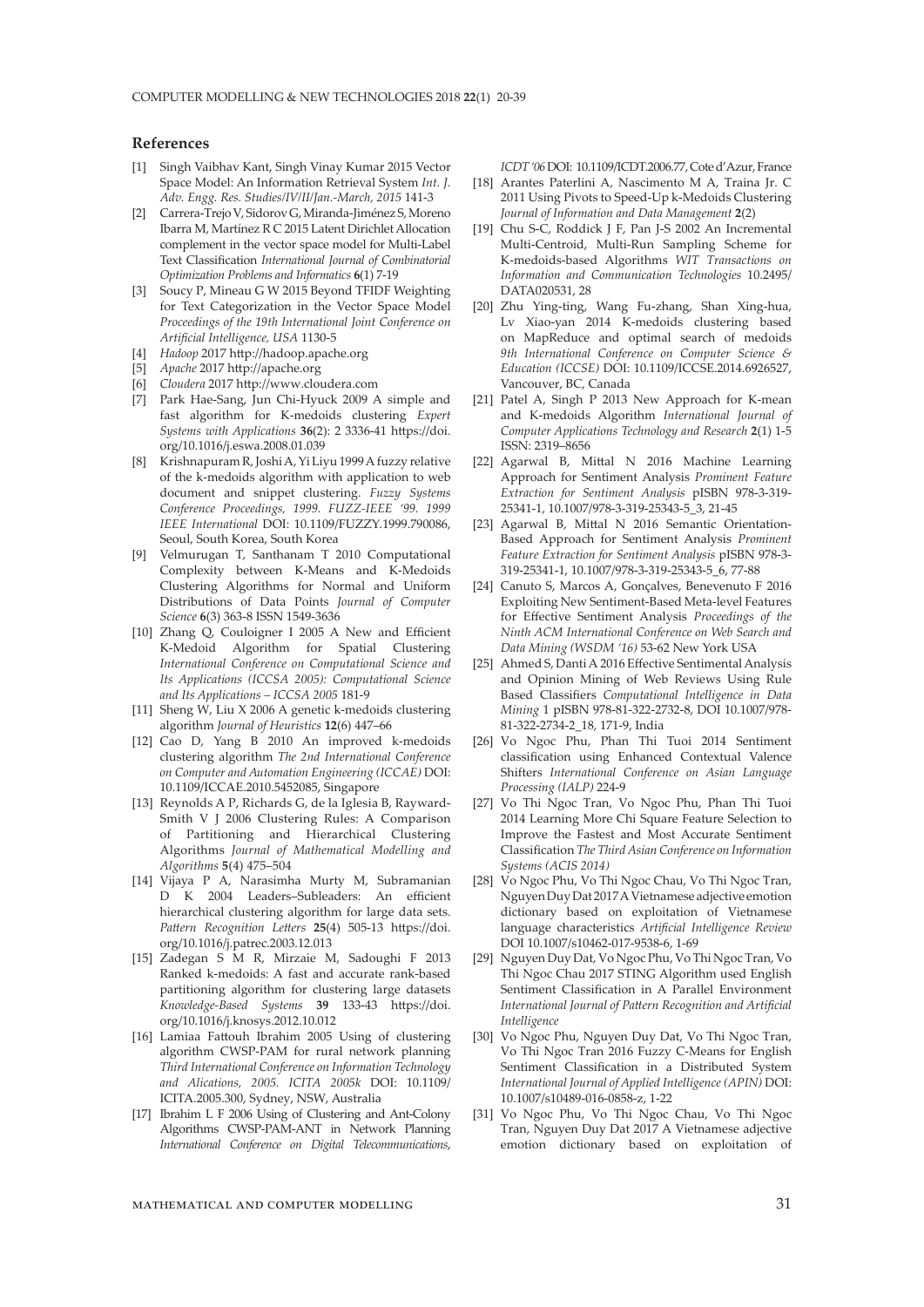## **References**

- [1] Singh Vaibhav Kant, Singh Vinay Kumar 2015 Vector Space Model: An Information Retrieval System *Int. J. Adv. Engg. Res. Studies/IV/II/Jan.-March, 2015* 141-3
- [2] Carrera-Trejo V, Sidorov G, Miranda-Jiménez S, Moreno Ibarra M, Martínez R C 2015 Latent Dirichlet Allocation complement in the vector space model for Multi-Label Text Classification *International Journal of Combinatorial Optimization Problems and Informatics* **6**(1) 7-19
- [3] Soucy P, Mineau G W 2015 Beyond TFIDF Weighting for Text Categorization in the Vector Space Model *Proceedings of the 19th International Joint Conference on Artificial Intelligence, USA* 1130-5
- [4] *Hadoop* 2017 http://hadoop.apache.org
- [5] *Apache* 2017 http://apache.org
- [6] *Cloudera* 2017 http://www.cloudera.com
- [7] Park Hae-Sang, Jun Chi-Hyuck 2009 A simple and fast algorithm for K-medoids clustering *Expert Systems with Applications* **36**(2): 2 3336-41 https://doi. org/10.1016/j.eswa.2008.01.039
- [8] Krishnapuram R, Joshi A, Yi Liyu 1999 A fuzzy relative of the k-medoids algorithm with application to web document and snippet clustering. *Fuzzy Systems Conference Proceedings, 1999. FUZZ-IEEE '99. 1999 IEEE International* DOI: 10.1109/FUZZY.1999.790086, Seoul, South Korea, South Korea
- [9] Velmurugan T, Santhanam T 2010 Computational Complexity between K-Means and K-Medoids Clustering Algorithms for Normal and Uniform Distributions of Data Points *Journal of Computer Science* **6**(3) 363-8 ISSN 1549-3636
- [10] Zhang Q, Couloigner I 2005 A New and Efficient K-Medoid Algorithm for Spatial Clustering *International Conference on Computational Science and Its Applications (ICCSA 2005): Computational Science and Its Applications – ICCSA 2005* 181-9
- [11] Sheng W, Liu X 2006 A genetic k-medoids clustering algorithm *Journal of Heuristics* **12**(6) 447–66
- [12] Cao D, Yang B 2010 An improved k-medoids clustering algorithm *The 2nd International Conference on Computer and Automation Engineering (ICCAE)* DOI: 10.1109/ICCAE.2010.5452085, Singapore
- [13] Reynolds A P, Richards G, de la Iglesia B, Rayward-Smith V J 2006 Clustering Rules: A Comparison of Partitioning and Hierarchical Clustering Algorithms *Journal of Mathematical Modelling and Algorithms* **5**(4) 475–504
- [14] Vijaya P A, Narasimha Murty M, Subramanian D K 2004 Leaders–Subleaders: An efficient hierarchical clustering algorithm for large data sets. *Pattern Recognition Letters* **25**(4) 505-13 https://doi. org/10.1016/j.patrec.2003.12.013
- [15] Zadegan S M R, Mirzaie M, Sadoughi F 2013 Ranked k-medoids: A fast and accurate rank-based partitioning algorithm for clustering large datasets *Knowledge-Based Systems* **39** 133-43 https://doi. org/10.1016/j.knosys.2012.10.012
- [16] Lamiaa Fattouh Ibrahim 2005 Using of clustering algorithm CWSP-PAM for rural network planning *Third International Conference on Information Technology and Alications, 2005. ICITA 2005k* DOI: 10.1109/ ICITA.2005.300, Sydney, NSW, Australia
- [17] Ibrahim L F 2006 Using of Clustering and Ant-Colony Algorithms CWSP-PAM-ANT in Network Planning *International Conference on Digital Telecommunications*,

*ICDT '06* DOI: 10.1109/ICDT.2006.77, Cote d'Azur, France

- [18] Arantes Paterlini A, Nascimento M A, Traina Jr. C 2011 Using Pivots to Speed-Up k-Medoids Clustering *Journal of Information and Data Management* **2**(2)
- [19] Chu S-C, Roddick J F, Pan J-S 2002 An Incremental Multi-Centroid, Multi-Run Sampling Scheme for K-medoids-based Algorithms *WIT Transactions on Information and Communication Technologies* 10.2495/ DATA020531, 28
- [20] Zhu Ying-ting, Wang Fu-zhang, Shan Xing-hua, Lv Xiao-yan 2014 K-medoids clustering based on MapReduce and optimal search of medoids *9th International Conference on Computer Science & Education (ICCSE)* DOI: 10.1109/ICCSE.2014.6926527, Vancouver, BC, Canada
- [21] Patel A, Singh P 2013 New Approach for K-mean and K-medoids Algorithm *International Journal of Computer Applications Technology and Research* **2**(1) 1-5 ISSN: 2319–8656
- [22] Agarwal B, Mittal N 2016 Machine Learning Approach for Sentiment Analysis *Prominent Feature Extraction for Sentiment Analysis* pISBN 978-3-319- 25341-1, 10.1007/978-3-319-25343-5\_3, 21-45
- [23] Agarwal B, Mittal N 2016 Semantic Orientation-Based Approach for Sentiment Analysis *Prominent Feature Extraction for Sentiment Analysis* pISBN 978-3- 319-25341-1, 10.1007/978-3-319-25343-5\_6, 77-88
- [24] Canuto S, Marcos A, Gonçalves, Benevenuto F 2016 Exploiting New Sentiment-Based Meta-level Features for Effective Sentiment Analysis *Proceedings of the Ninth ACM International Conference on Web Search and Data Mining (WSDM '16)* 53-62 New York USA
- [25] Ahmed S, Danti A 2016 Effective Sentimental Analysis and Opinion Mining of Web Reviews Using Rule Based Classifiers *Computational Intelligence in Data Mining* 1 pISBN 978-81-322-2732-8, DOI 10.1007/978- 81-322-2734-2\_18, 171-9, India
- [26] Vo Ngoc Phu, Phan Thi Tuoi 2014 Sentiment classification using Enhanced Contextual Valence Shifters *International Conference on Asian Language Processing (IALP)* 224-9
- [27] Vo Thi Ngoc Tran, Vo Ngoc Phu, Phan Thi Tuoi 2014 Learning More Chi Square Feature Selection to Improve the Fastest and Most Accurate Sentiment Classification *The Third Asian Conference on Information Systems (ACIS 2014)*
- [28] Vo Ngoc Phu, Vo Thi Ngoc Chau, Vo Thi Ngoc Tran, Nguyen Duy Dat 2017 A Vietnamese adjective emotion dictionary based on exploitation of Vietnamese language characteristics *Artificial Intelligence Review* DOI 10.1007/s10462-017-9538-6, 1-69
- [29] Nguyen Duy Dat, Vo Ngoc Phu, Vo Thi Ngoc Tran, Vo Thi Ngoc Chau 2017 STING Algorithm used English Sentiment Classification in A Parallel Environment *International Journal of Pattern Recognition and Artificial Intelligence*
- [30] Vo Ngoc Phu, Nguyen Duy Dat, Vo Thi Ngoc Tran, Vo Thi Ngoc Tran 2016 Fuzzy C-Means for English Sentiment Classification in a Distributed System *International Journal of Applied Intelligence (APIN)* DOI: 10.1007/s10489-016-0858-z, 1-22
- [31] Vo Ngoc Phu, Vo Thi Ngoc Chau, Vo Thi Ngoc Tran, Nguyen Duy Dat 2017 A Vietnamese adjective emotion dictionary based on exploitation of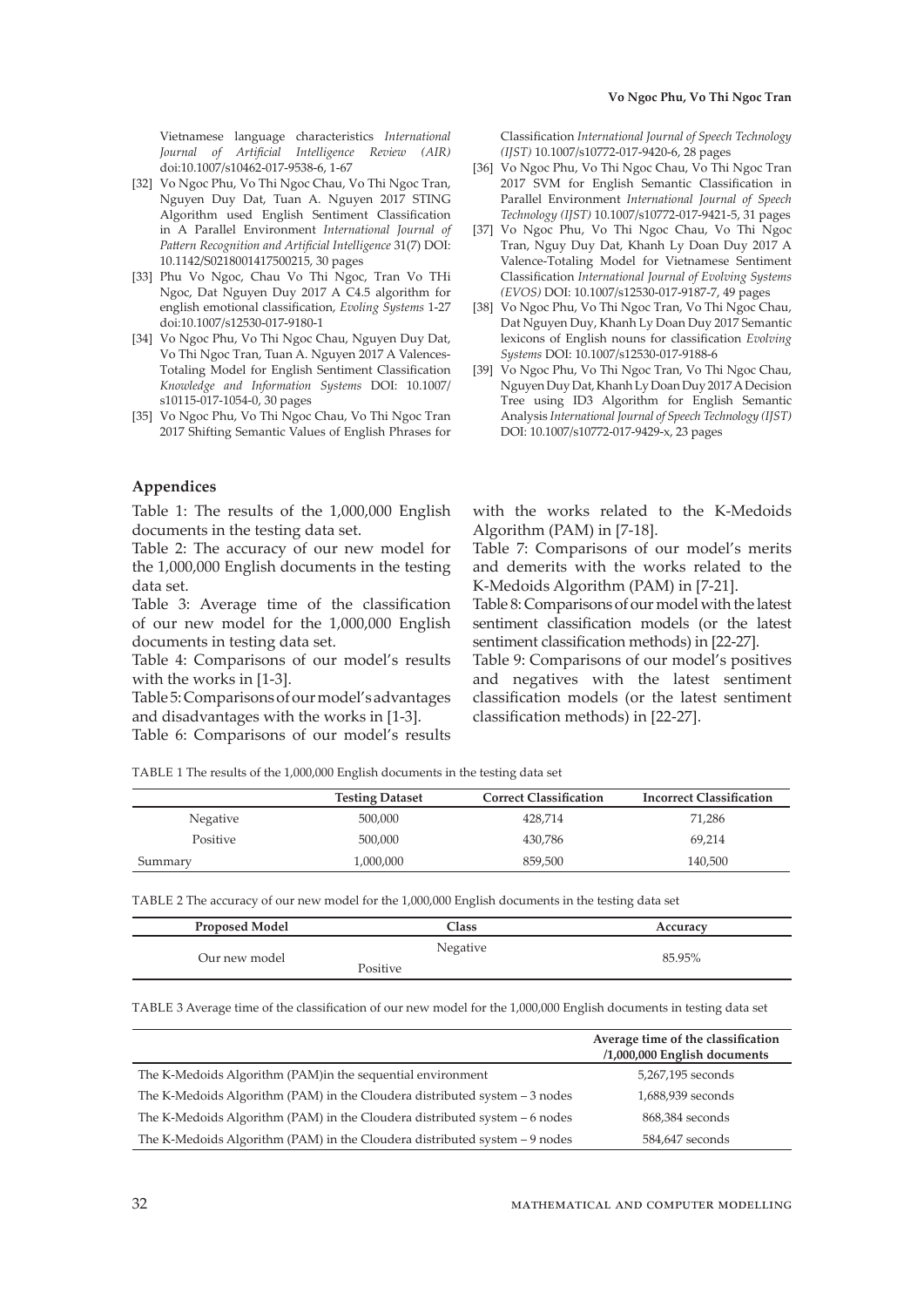Vietnamese language characteristics *International Journal of Artificial Intelligence Review (AIR)* doi:10.1007/s10462-017-9538-6, 1-67

- [32] Vo Ngoc Phu, Vo Thi Ngoc Chau, Vo Thi Ngoc Tran, Nguyen Duy Dat, Tuan A. Nguyen 2017 STING Algorithm used English Sentiment Classification in A Parallel Environment *International Journal of Pattern Recognition and Artificial Intelligence* 31(7) DOI: 10.1142/S0218001417500215, 30 pages
- [33] Phu Vo Ngoc, Chau Vo Thi Ngoc, Tran Vo THi Ngoc, Dat Nguyen Duy 2017 A C4.5 algorithm for english emotional classification, *Evoling Systems* 1-27 doi:10.1007/s12530-017-9180-1
- [34] Vo Ngoc Phu, Vo Thi Ngoc Chau, Nguyen Duy Dat, Vo Thi Ngoc Tran, Tuan A. Nguyen 2017 A Valences-Totaling Model for English Sentiment Classification *Knowledge and Information Systems* DOI: 10.1007/ s10115-017-1054-0, 30 pages
- [35] Vo Ngoc Phu, Vo Thi Ngoc Chau, Vo Thi Ngoc Tran 2017 Shifting Semantic Values of English Phrases for

## **Appendices**

Table 1: The results of the 1,000,000 English documents in the testing data set.

Table 2: The accuracy of our new model for the 1,000,000 English documents in the testing data set.

Table 3: Average time of the classification of our new model for the 1,000,000 English documents in testing data set.

Table 4: Comparisons of our model's results with the works in [1-3].

Table 5: Comparisons of our model's advantages and disadvantages with the works in [1-3].

Table 6: Comparisons of our model's results

Classification *International Journal of Speech Technology (IJST)* 10.1007/s10772-017-9420-6, 28 pages

- [36] Vo Ngoc Phu, Vo Thi Ngoc Chau, Vo Thi Ngoc Tran 2017 SVM for English Semantic Classification in Parallel Environment *International Journal of Speech Technology (IJST)* 10.1007/s10772-017-9421-5, 31 pages
- [37] Vo Ngoc Phu, Vo Thi Ngoc Chau, Vo Thi Ngoc Tran, Nguy Duy Dat, Khanh Ly Doan Duy 2017 A Valence-Totaling Model for Vietnamese Sentiment Classification *International Journal of Evolving Systems (EVOS)* DOI: 10.1007/s12530-017-9187-7, 49 pages
- [38] Vo Ngoc Phu, Vo Thi Ngoc Tran, Vo Thi Ngoc Chau, Dat Nguyen Duy, Khanh Ly Doan Duy 2017 Semantic lexicons of English nouns for classification *Evolving Systems* DOI: 10.1007/s12530-017-9188-6
- [39] Vo Ngoc Phu, Vo Thi Ngoc Tran, Vo Thi Ngoc Chau, Nguyen Duy Dat, Khanh Ly Doan Duy 2017 A Decision Tree using ID3 Algorithm for English Semantic Analysis *International Journal of Speech Technology (IJST)* DOI: 10.1007/s10772-017-9429-x, 23 pages

with the works related to the K-Medoids Algorithm (PAM) in [7-18].

Table 7: Comparisons of our model's merits and demerits with the works related to the K-Medoids Algorithm (PAM) in [7-21].

Table 8: Comparisons of our model with the latest sentiment classification models (or the latest sentiment classification methods) in [22-27].

Table 9: Comparisons of our model's positives and negatives with the latest sentiment classification models (or the latest sentiment classification methods) in [22-27].

TABLE 1 The results of the 1,000,000 English documents in the testing data set

|          | <b>Testing Dataset</b> | <b>Correct Classification</b> | <b>Incorrect Classification</b> |
|----------|------------------------|-------------------------------|---------------------------------|
| Negative | 500,000                | 428.714                       | 71.286                          |
| Positive | 500,000                | 430.786                       | 69,214                          |
| Summary  | 1,000,000              | 859,500                       | 140,500                         |

TABLE 2 The accuracy of our new model for the 1,000,000 English documents in the testing data set

| <b>Proposed Model</b> | Class                | Accuracy |
|-----------------------|----------------------|----------|
| Our new model         | Negative<br>Positive | 85.95%   |

TABLE 3 Average time of the classification of our new model for the 1,000,000 English documents in testing data set

|                                                                                 | Average time of the classification<br>$/1,000,000$ English documents |
|---------------------------------------------------------------------------------|----------------------------------------------------------------------|
| The K-Medoids Algorithm (PAM) in the sequential environment                     | 5,267,195 seconds                                                    |
| The K-Medoids Algorithm ( $PAM$ ) in the Cloudera distributed system $-3$ nodes | 1,688,939 seconds                                                    |
| The K-Medoids Algorithm ( $PAM$ ) in the Cloudera distributed system $-6$ nodes | 868,384 seconds                                                      |
| The K-Medoids Algorithm ( $PAM$ ) in the Cloudera distributed system $-9$ nodes | 584,647 seconds                                                      |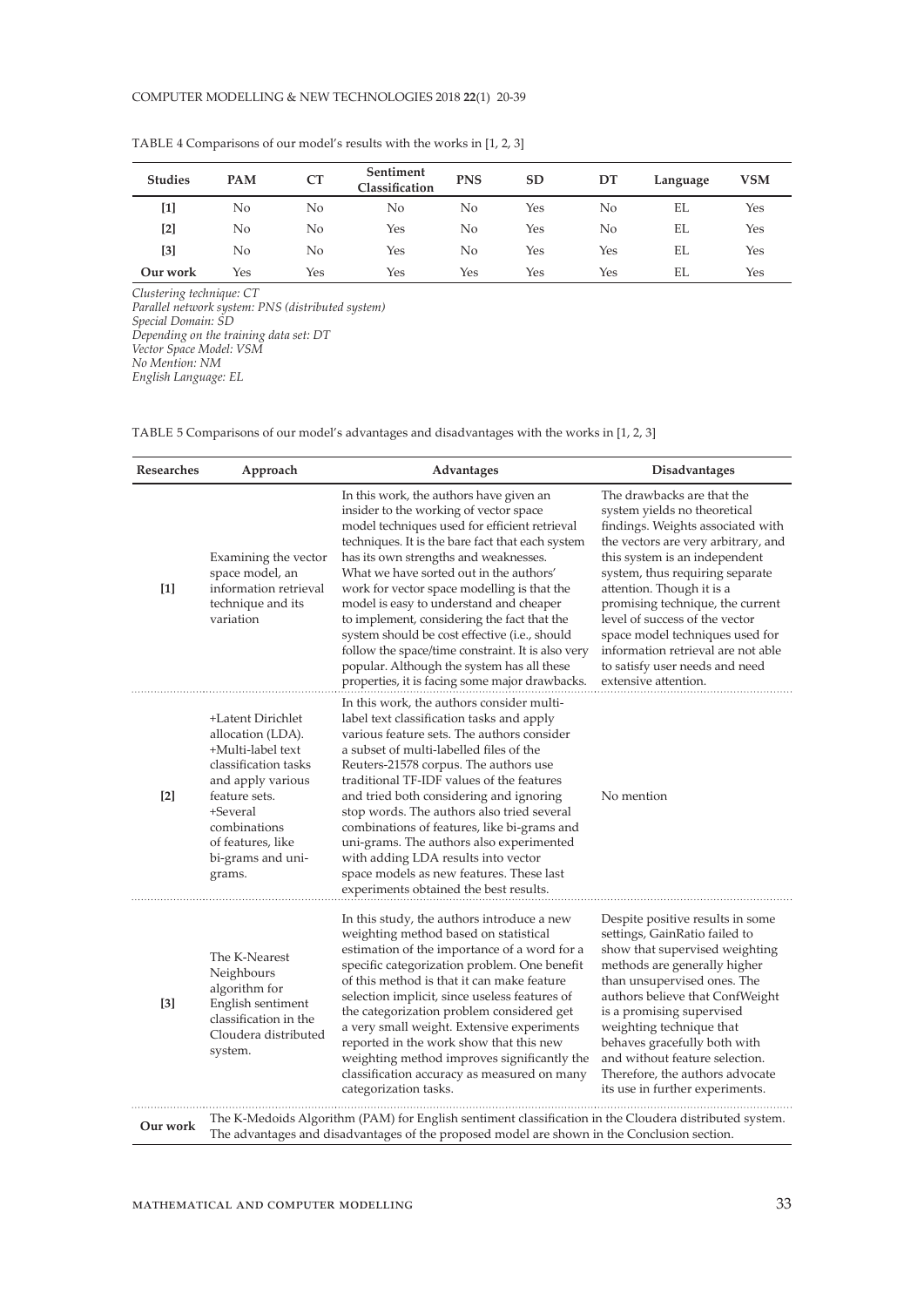| <b>Studies</b> | <b>PAM</b> | CT  | Sentiment<br>Classification | <b>PNS</b> | SD  | DT  | Language | VSM |
|----------------|------------|-----|-----------------------------|------------|-----|-----|----------|-----|
| $[1]$          | No         | No  | No                          | No         | Yes | No  | EL       | Yes |
| $[2]$          | No         | No  | Yes                         | No         | Yes | No  | EL       | Yes |
| [3]            | No         | No  | Yes                         | No         | Yes | Yes | EL       | Yes |
| Our work       | Yes        | Yes | Yes                         | Yes        | Yes | Yes | EL       | Yes |

TABLE 4 Comparisons of our model's results with the works in [1, 2, 3]

*Clustering technique: CT Parallel network system: PNS (distributed system) Special Domain: SD Depending on the training data set: DT Vector Space Model: VSM No Mention: NM English Language: EL*

TABLE 5 Comparisons of our model's advantages and disadvantages with the works in [1, 2, 3]

| Researches        | Approach                                                                                                                                                                                                  | Advantages                                                                                                                                                                                                                                                                                                                                                                                                                                                                                                                                                                                                                | <b>Disadvantages</b>                                                                                                                                                                                                                                                                                                                                                                                                                             |  |  |
|-------------------|-----------------------------------------------------------------------------------------------------------------------------------------------------------------------------------------------------------|---------------------------------------------------------------------------------------------------------------------------------------------------------------------------------------------------------------------------------------------------------------------------------------------------------------------------------------------------------------------------------------------------------------------------------------------------------------------------------------------------------------------------------------------------------------------------------------------------------------------------|--------------------------------------------------------------------------------------------------------------------------------------------------------------------------------------------------------------------------------------------------------------------------------------------------------------------------------------------------------------------------------------------------------------------------------------------------|--|--|
| $[1]$             | Examining the vector<br>space model, an<br>information retrieval<br>technique and its<br>variation                                                                                                        | In this work, the authors have given an<br>insider to the working of vector space<br>model techniques used for efficient retrieval<br>techniques. It is the bare fact that each system<br>has its own strengths and weaknesses.<br>What we have sorted out in the authors'<br>work for vector space modelling is that the<br>model is easy to understand and cheaper<br>to implement, considering the fact that the<br>system should be cost effective (i.e., should<br>follow the space/time constraint. It is also very<br>popular. Although the system has all these<br>properties, it is facing some major drawbacks. | The drawbacks are that the<br>system yields no theoretical<br>findings. Weights associated with<br>the vectors are very arbitrary, and<br>this system is an independent<br>system, thus requiring separate<br>attention. Though it is a<br>promising technique, the current<br>level of success of the vector<br>space model techniques used for<br>information retrieval are not able<br>to satisfy user needs and need<br>extensive attention. |  |  |
| $\lceil 2 \rceil$ | +Latent Dirichlet<br>allocation (LDA).<br>+Multi-label text<br>classification tasks<br>and apply various<br>feature sets.<br>+Several<br>combinations<br>of features, like<br>bi-grams and uni-<br>grams. | In this work, the authors consider multi-<br>label text classification tasks and apply<br>various feature sets. The authors consider<br>a subset of multi-labelled files of the<br>Reuters-21578 corpus. The authors use<br>traditional TF-IDF values of the features<br>and tried both considering and ignoring<br>stop words. The authors also tried several<br>combinations of features, like bi-grams and<br>uni-grams. The authors also experimented<br>with adding LDA results into vector<br>space models as new features. These last<br>experiments obtained the best results.                                    | No mention                                                                                                                                                                                                                                                                                                                                                                                                                                       |  |  |
| $[3]$             | The K-Nearest<br>Neighbours<br>algorithm for<br>English sentiment<br>classification in the<br>Cloudera distributed<br>system.                                                                             | In this study, the authors introduce a new<br>weighting method based on statistical<br>estimation of the importance of a word for a<br>specific categorization problem. One benefit<br>of this method is that it can make feature<br>selection implicit, since useless features of<br>the categorization problem considered get<br>a very small weight. Extensive experiments<br>reported in the work show that this new<br>weighting method improves significantly the<br>classification accuracy as measured on many<br>categorization tasks.                                                                           | Despite positive results in some<br>settings, GainRatio failed to<br>show that supervised weighting<br>methods are generally higher<br>than unsupervised ones. The<br>authors believe that ConfWeight<br>is a promising supervised<br>weighting technique that<br>behaves gracefully both with<br>and without feature selection.<br>Therefore, the authors advocate<br>its use in further experiments.                                           |  |  |
| Our work          |                                                                                                                                                                                                           | The K-Medoids Algorithm (PAM) for English sentiment classification in the Cloudera distributed system.<br>The advantages and disadvantages of the proposed model are shown in the Conclusion section.                                                                                                                                                                                                                                                                                                                                                                                                                     |                                                                                                                                                                                                                                                                                                                                                                                                                                                  |  |  |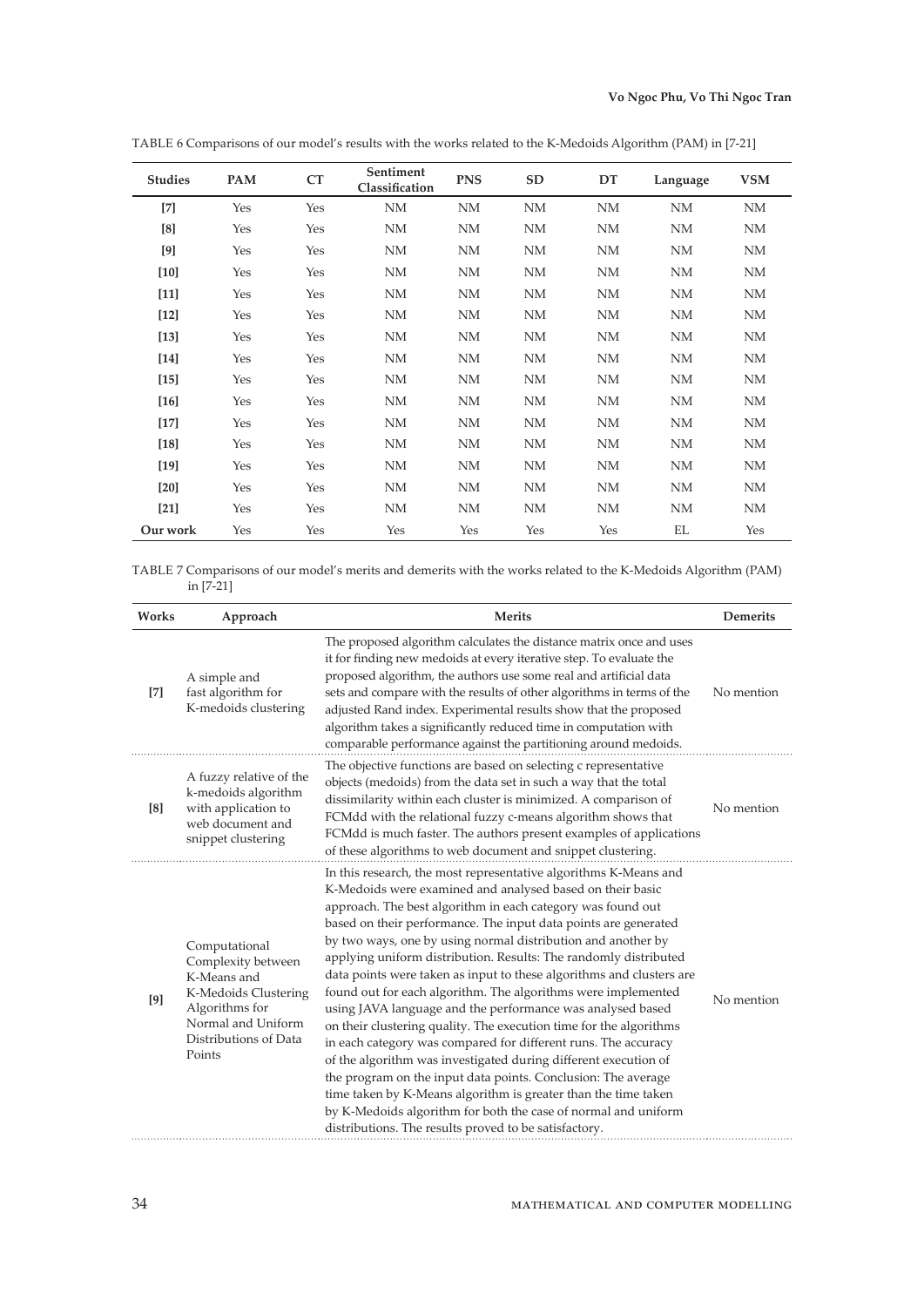| <b>Studies</b> | PAM | CT  | Sentiment<br>Classification | <b>PNS</b> | SD        | DT        | Language  | <b>VSM</b> |
|----------------|-----|-----|-----------------------------|------------|-----------|-----------|-----------|------------|
| $[7]$          | Yes | Yes | NM                          | NM         | <b>NM</b> | NM        | <b>NM</b> | NM         |
| [8]            | Yes | Yes | NM                          | NM         | <b>NM</b> | NM        | NM        | NM         |
| [9]            | Yes | Yes | NΜ                          | NM         | NM        | NΜ        | NΜ        | NM         |
| $[10]$         | Yes | Yes | NM                          | NM         | <b>NM</b> | <b>NM</b> | NM        | NM         |
| $[11]$         | Yes | Yes | NM                          | NM         | <b>NM</b> | <b>NM</b> | NM        | NM         |
| $[12]$         | Yes | Yes | NM                          | NM         | <b>NM</b> | <b>NM</b> | NM        | NM         |
| $[13]$         | Yes | Yes | NM                          | NM         | NM        | NM        | NM        | NM         |
| $[14]$         | Yes | Yes | NM                          | NM         | <b>NM</b> | NM        | NM        | NM         |
| $[15]$         | Yes | Yes | NM                          | NM         | <b>NM</b> | NM        | NM        | NM         |
| $[16]$         | Yes | Yes | NM                          | NM         | <b>NM</b> | NM        | NM        | NΜ         |
| $[17]$         | Yes | Yes | NΜ                          | NM         | NM        | NΜ        | NM        | NΜ         |
| $[18]$         | Yes | Yes | NM                          | NM         | <b>NM</b> | <b>NM</b> | NM        | NM         |
| $[19]$         | Yes | Yes | NM                          | NM         | NM        | NM        | <b>NM</b> | NM         |
| [20]           | Yes | Yes | NM                          | NM         | NM        | <b>NM</b> | NM        | NM         |
| $[21]$         | Yes | Yes | NM                          | NM         | <b>NM</b> | <b>NM</b> | NM        | NM         |
| Our work       | Yes | Yes | Yes                         | Yes        | Yes       | Yes       | EL        | Yes        |

TABLE 6 Comparisons of our model's results with the works related to the K-Medoids Algorithm (PAM) in [7-21]

TABLE 7 Comparisons of our model's merits and demerits with the works related to the K-Medoids Algorithm (PAM) in [7-21]

| Works             | Approach                                                                                                                                              | <b>Merits</b>                                                                                                                                                                                                                                                                                                                                                                                                                                                                                                                                                                                                                                                                                                                                                                                                                                                                                                                                                                                                                                                                       | <b>Demerits</b> |
|-------------------|-------------------------------------------------------------------------------------------------------------------------------------------------------|-------------------------------------------------------------------------------------------------------------------------------------------------------------------------------------------------------------------------------------------------------------------------------------------------------------------------------------------------------------------------------------------------------------------------------------------------------------------------------------------------------------------------------------------------------------------------------------------------------------------------------------------------------------------------------------------------------------------------------------------------------------------------------------------------------------------------------------------------------------------------------------------------------------------------------------------------------------------------------------------------------------------------------------------------------------------------------------|-----------------|
| $\lceil 7 \rceil$ | A simple and<br>fast algorithm for<br>K-medoids clustering                                                                                            | The proposed algorithm calculates the distance matrix once and uses<br>it for finding new medoids at every iterative step. To evaluate the<br>proposed algorithm, the authors use some real and artificial data<br>sets and compare with the results of other algorithms in terms of the<br>adjusted Rand index. Experimental results show that the proposed<br>algorithm takes a significantly reduced time in computation with<br>comparable performance against the partitioning around medoids.                                                                                                                                                                                                                                                                                                                                                                                                                                                                                                                                                                                 | No mention      |
| [8]               | A fuzzy relative of the<br>k-medoids algorithm<br>with application to<br>web document and<br>snippet clustering                                       | The objective functions are based on selecting c representative<br>objects (medoids) from the data set in such a way that the total<br>dissimilarity within each cluster is minimized. A comparison of<br>FCMdd with the relational fuzzy c-means algorithm shows that<br>FCMdd is much faster. The authors present examples of applications<br>of these algorithms to web document and snippet clustering.                                                                                                                                                                                                                                                                                                                                                                                                                                                                                                                                                                                                                                                                         | No mention      |
| [9]               | Computational<br>Complexity between<br>K-Means and<br>K-Medoids Clustering<br>Algorithms for<br>Normal and Uniform<br>Distributions of Data<br>Points | In this research, the most representative algorithms K-Means and<br>K-Medoids were examined and analysed based on their basic<br>approach. The best algorithm in each category was found out<br>based on their performance. The input data points are generated<br>by two ways, one by using normal distribution and another by<br>applying uniform distribution. Results: The randomly distributed<br>data points were taken as input to these algorithms and clusters are<br>found out for each algorithm. The algorithms were implemented<br>using JAVA language and the performance was analysed based<br>on their clustering quality. The execution time for the algorithms<br>in each category was compared for different runs. The accuracy<br>of the algorithm was investigated during different execution of<br>the program on the input data points. Conclusion: The average<br>time taken by K-Means algorithm is greater than the time taken<br>by K-Medoids algorithm for both the case of normal and uniform<br>distributions. The results proved to be satisfactory. | No mention      |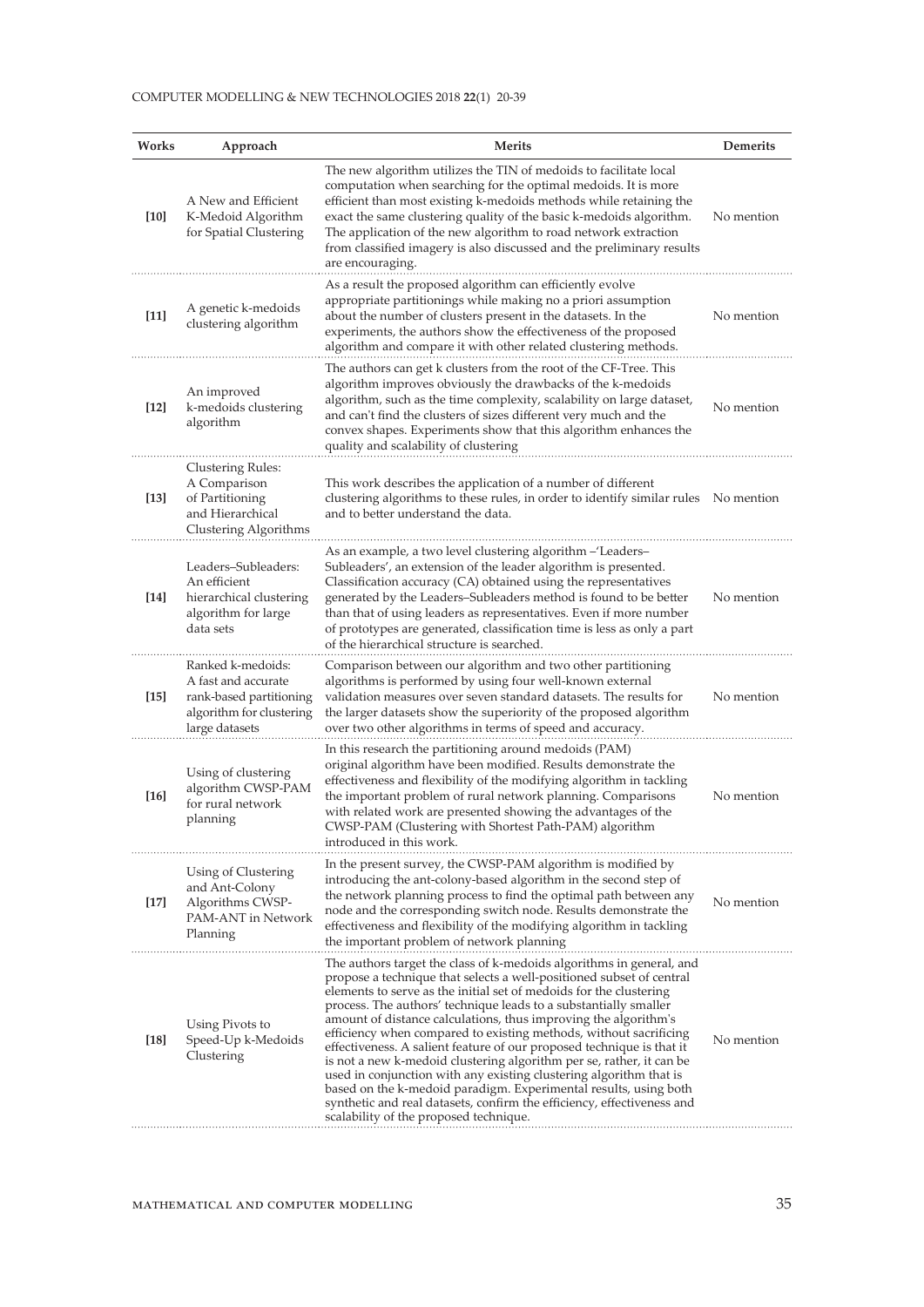#### COMPUTER MODELLING & NEW TECHNOLOGIES 2018 **22**(1) 20-39

| Works  | Approach                                                                                                          | <b>Merits</b>                                                                                                                                                                                                                                                                                                                                                                                                                                                                                                                                                                                                                                                                                                                                                                                                                                 | Demerits   |
|--------|-------------------------------------------------------------------------------------------------------------------|-----------------------------------------------------------------------------------------------------------------------------------------------------------------------------------------------------------------------------------------------------------------------------------------------------------------------------------------------------------------------------------------------------------------------------------------------------------------------------------------------------------------------------------------------------------------------------------------------------------------------------------------------------------------------------------------------------------------------------------------------------------------------------------------------------------------------------------------------|------------|
| $[10]$ | A New and Efficient<br>K-Medoid Algorithm<br>for Spatial Clustering                                               | The new algorithm utilizes the TIN of medoids to facilitate local<br>computation when searching for the optimal medoids. It is more<br>efficient than most existing k-medoids methods while retaining the<br>exact the same clustering quality of the basic k-medoids algorithm.<br>The application of the new algorithm to road network extraction<br>from classified imagery is also discussed and the preliminary results<br>are encouraging.                                                                                                                                                                                                                                                                                                                                                                                              | No mention |
| $[11]$ | A genetic k-medoids<br>clustering algorithm                                                                       | As a result the proposed algorithm can efficiently evolve<br>appropriate partitionings while making no a priori assumption<br>about the number of clusters present in the datasets. In the<br>experiments, the authors show the effectiveness of the proposed<br>algorithm and compare it with other related clustering methods.                                                                                                                                                                                                                                                                                                                                                                                                                                                                                                              | No mention |
| $[12]$ | An improved<br>k-medoids clustering<br>algorithm                                                                  | The authors can get k clusters from the root of the CF-Tree. This<br>algorithm improves obviously the drawbacks of the k-medoids<br>algorithm, such as the time complexity, scalability on large dataset,<br>and can't find the clusters of sizes different very much and the<br>convex shapes. Experiments show that this algorithm enhances the<br>quality and scalability of clustering                                                                                                                                                                                                                                                                                                                                                                                                                                                    | No mention |
| $[13]$ | Clustering Rules:<br>A Comparison<br>of Partitioning<br>and Hierarchical<br>Clustering Algorithms                 | This work describes the application of a number of different<br>clustering algorithms to these rules, in order to identify similar rules No mention<br>and to better understand the data.                                                                                                                                                                                                                                                                                                                                                                                                                                                                                                                                                                                                                                                     |            |
| $[14]$ | Leaders-Subleaders:<br>An efficient<br>hierarchical clustering<br>algorithm for large<br>data sets                | As an example, a two level clustering algorithm - 'Leaders-<br>Subleaders', an extension of the leader algorithm is presented.<br>Classification accuracy (CA) obtained using the representatives<br>generated by the Leaders-Subleaders method is found to be better<br>than that of using leaders as representatives. Even if more number<br>of prototypes are generated, classification time is less as only a part<br>of the hierarchical structure is searched.                                                                                                                                                                                                                                                                                                                                                                          | No mention |
| $[15]$ | Ranked k-medoids:<br>A fast and accurate<br>rank-based partitioning<br>algorithm for clustering<br>large datasets | Comparison between our algorithm and two other partitioning<br>algorithms is performed by using four well-known external<br>validation measures over seven standard datasets. The results for<br>the larger datasets show the superiority of the proposed algorithm<br>over two other algorithms in terms of speed and accuracy.                                                                                                                                                                                                                                                                                                                                                                                                                                                                                                              | No mention |
| $[16]$ | Using of clustering<br>algorithm CWSP-PAM<br>for rural network<br>planning                                        | In this research the partitioning around medoids (PAM)<br>original algorithm have been modified. Results demonstrate the<br>effectiveness and flexibility of the modifying algorithm in tackling<br>the important problem of rural network planning. Comparisons<br>with related work are presented showing the advantages of the<br>CWSP-PAM (Clustering with Shortest Path-PAM) algorithm<br>introduced in this work.                                                                                                                                                                                                                                                                                                                                                                                                                       | No mention |
| $[17]$ | Using of Clustering<br>and Ant-Colony<br>Algorithms CWSP-<br>PAM-ANT in Network<br>Planning                       | In the present survey, the CWSP-PAM algorithm is modified by<br>introducing the ant-colony-based algorithm in the second step of<br>the network planning process to find the optimal path between any<br>node and the corresponding switch node. Results demonstrate the<br>effectiveness and flexibility of the modifying algorithm in tackling<br>the important problem of network planning                                                                                                                                                                                                                                                                                                                                                                                                                                                 | No mention |
| $[18]$ | Using Pivots to<br>Speed-Up k-Medoids<br>Clustering                                                               | The authors target the class of k-medoids algorithms in general, and<br>propose a technique that selects a well-positioned subset of central<br>elements to serve as the initial set of medoids for the clustering<br>process. The authors' technique leads to a substantially smaller<br>amount of distance calculations, thus improving the algorithm's<br>efficiency when compared to existing methods, without sacrificing<br>effectiveness. A salient feature of our proposed technique is that it<br>is not a new k-medoid clustering algorithm per se, rather, it can be<br>used in conjunction with any existing clustering algorithm that is<br>based on the k-medoid paradigm. Experimental results, using both<br>synthetic and real datasets, confirm the efficiency, effectiveness and<br>scalability of the proposed technique. | No mention |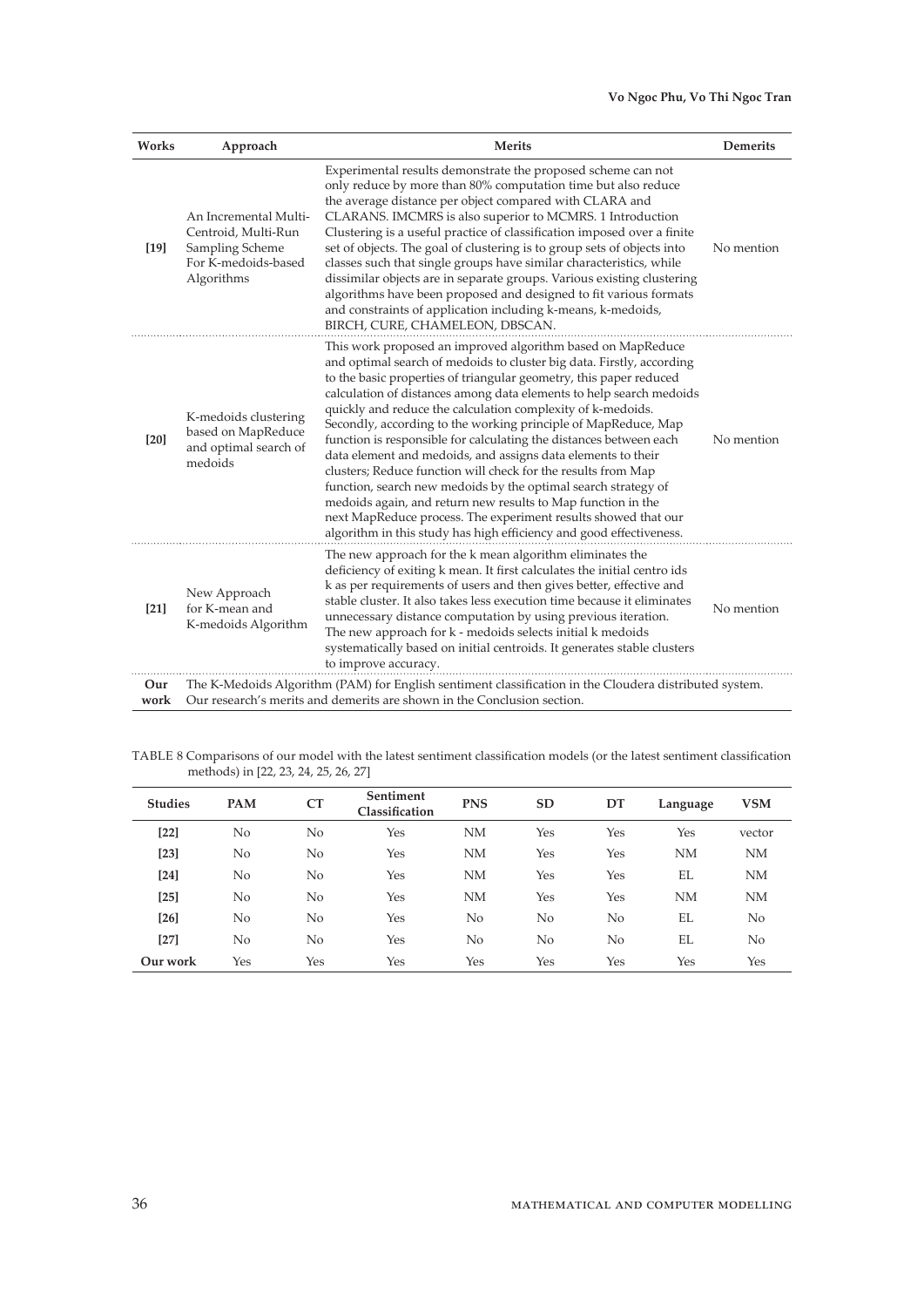## **Vo Ngoc Phu, Vo Thi Ngoc Tran**

| Works       | Approach                                                                                             | <b>Merits</b>                                                                                                                                                                                                                                                                                                                                                                                                                                                                                                                                                                                                                                                                                                                                                                                                                                                                                        | <b>Demerits</b> |
|-------------|------------------------------------------------------------------------------------------------------|------------------------------------------------------------------------------------------------------------------------------------------------------------------------------------------------------------------------------------------------------------------------------------------------------------------------------------------------------------------------------------------------------------------------------------------------------------------------------------------------------------------------------------------------------------------------------------------------------------------------------------------------------------------------------------------------------------------------------------------------------------------------------------------------------------------------------------------------------------------------------------------------------|-----------------|
| $[19]$      | An Incremental Multi-<br>Centroid, Multi-Run<br>Sampling Scheme<br>For K-medoids-based<br>Algorithms | Experimental results demonstrate the proposed scheme can not<br>only reduce by more than 80% computation time but also reduce<br>the average distance per object compared with CLARA and<br>CLARANS. IMCMRS is also superior to MCMRS. 1 Introduction<br>Clustering is a useful practice of classification imposed over a finite<br>set of objects. The goal of clustering is to group sets of objects into<br>classes such that single groups have similar characteristics, while<br>dissimilar objects are in separate groups. Various existing clustering<br>algorithms have been proposed and designed to fit various formats<br>and constraints of application including k-means, k-medoids,<br>BIRCH, CURE, CHAMELEON, DBSCAN.                                                                                                                                                                 | No mention      |
| [20]        | K-medoids clustering<br>based on MapReduce<br>and optimal search of<br>medoids                       | This work proposed an improved algorithm based on MapReduce<br>and optimal search of medoids to cluster big data. Firstly, according<br>to the basic properties of triangular geometry, this paper reduced<br>calculation of distances among data elements to help search medoids<br>quickly and reduce the calculation complexity of k-medoids.<br>Secondly, according to the working principle of MapReduce, Map<br>function is responsible for calculating the distances between each<br>data element and medoids, and assigns data elements to their<br>clusters; Reduce function will check for the results from Map<br>function, search new medoids by the optimal search strategy of<br>medoids again, and return new results to Map function in the<br>next MapReduce process. The experiment results showed that our<br>algorithm in this study has high efficiency and good effectiveness. | No mention      |
| $[21]$      | New Approach<br>for K-mean and<br>K-medoids Algorithm                                                | The new approach for the k mean algorithm eliminates the<br>deficiency of exiting k mean. It first calculates the initial centro ids<br>k as per requirements of users and then gives better, effective and<br>stable cluster. It also takes less execution time because it eliminates<br>unnecessary distance computation by using previous iteration.<br>The new approach for k - medoids selects initial k medoids<br>systematically based on initial centroids. It generates stable clusters<br>to improve accuracy.                                                                                                                                                                                                                                                                                                                                                                             | No mention      |
| Our<br>work |                                                                                                      | The K-Medoids Algorithm (PAM) for English sentiment classification in the Cloudera distributed system.<br>Our research's merits and demerits are shown in the Conclusion section.                                                                                                                                                                                                                                                                                                                                                                                                                                                                                                                                                                                                                                                                                                                    |                 |

TABLE 8 Comparisons of our model with the latest sentiment classification models (or the latest sentiment classification methods) in [22, 23, 24, 25, 26, 27]

| <b>Studies</b> | PAM            | CT  | Sentiment<br>Classification | <b>PNS</b> | <b>SD</b> | DT  | Language  | <b>VSM</b> |
|----------------|----------------|-----|-----------------------------|------------|-----------|-----|-----------|------------|
| $[22]$         | No             | No  | Yes                         | <b>NM</b>  | Yes       | Yes | Yes       | vector     |
| $[23]$         | No             | No  | Yes                         | <b>NM</b>  | Yes       | Yes | <b>NM</b> | <b>NM</b>  |
| $[24]$         | No             | No  | Yes                         | <b>NM</b>  | Yes       | Yes | EL        | <b>NM</b>  |
| $[25]$         | No             | No  | Yes                         | <b>NM</b>  | Yes       | Yes | <b>NM</b> | <b>NM</b>  |
| $[26]$         | N <sub>o</sub> | No  | Yes                         | No         | No        | No  | EL        | No         |
| $[27]$         | No             | No  | Yes                         | No         | No        | No  | EL        | No         |
| Our work       | Yes            | Yes | Yes                         | Yes        | Yes       | Yes | Yes       | Yes        |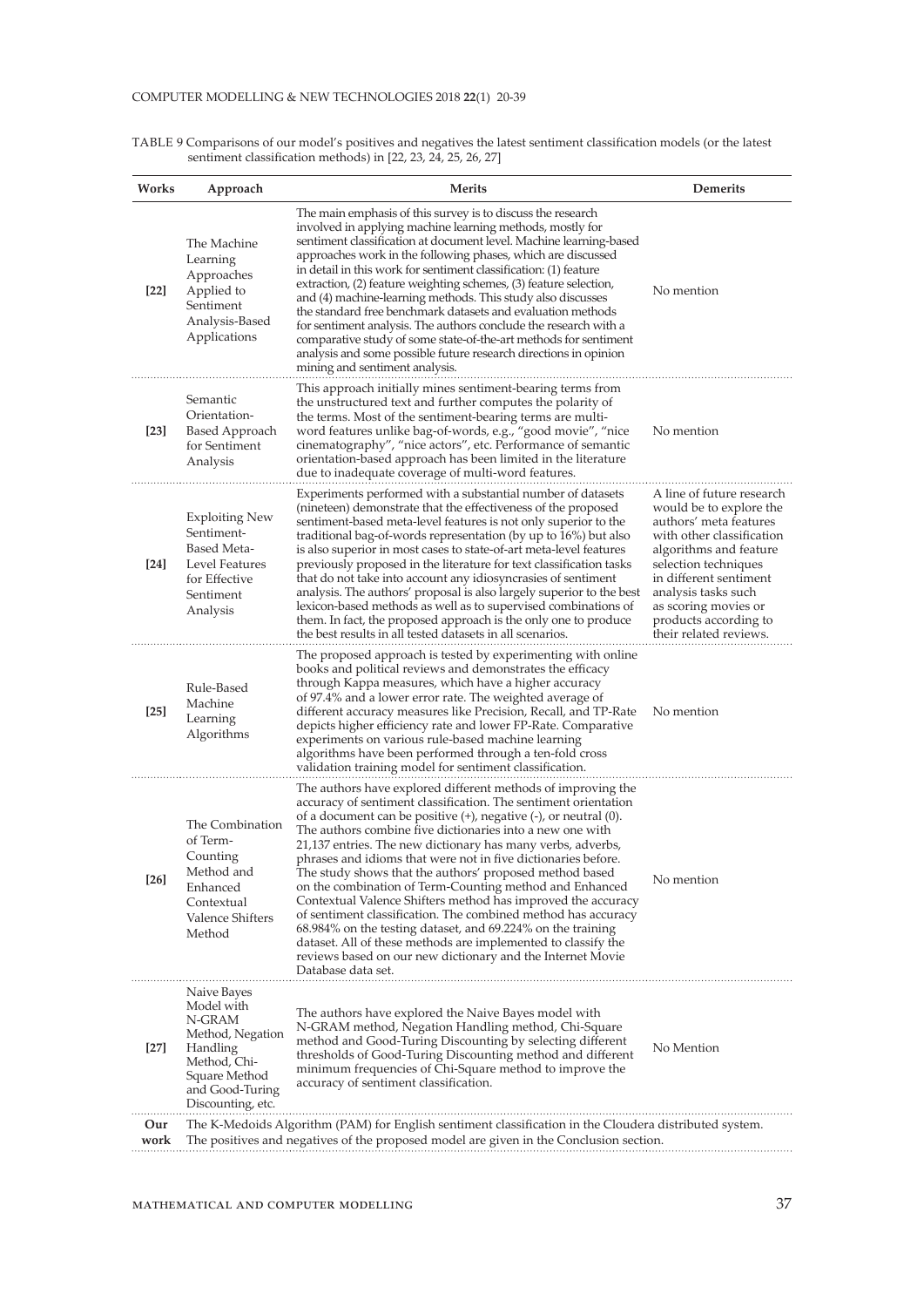| Works  | Approach                                                                                                                                     | <b>Merits</b>                                                                                                                                                                                                                                                                                                                                                                                                                                                                                                                                                                                                                                                                                                                                                                                                                                                               | Demerits                                                                                                                                                                                                                                                                                  |
|--------|----------------------------------------------------------------------------------------------------------------------------------------------|-----------------------------------------------------------------------------------------------------------------------------------------------------------------------------------------------------------------------------------------------------------------------------------------------------------------------------------------------------------------------------------------------------------------------------------------------------------------------------------------------------------------------------------------------------------------------------------------------------------------------------------------------------------------------------------------------------------------------------------------------------------------------------------------------------------------------------------------------------------------------------|-------------------------------------------------------------------------------------------------------------------------------------------------------------------------------------------------------------------------------------------------------------------------------------------|
| $[22]$ | The Machine<br>Learning<br>Approaches<br>Applied to<br>Sentiment<br>Analysis-Based<br>Applications                                           | The main emphasis of this survey is to discuss the research<br>involved in applying machine learning methods, mostly for<br>sentiment classification at document level. Machine learning-based<br>approaches work in the following phases, which are discussed<br>in detail in this work for sentiment classification: (1) feature<br>extraction, (2) feature weighting schemes, (3) feature selection,<br>and (4) machine-learning methods. This study also discusses<br>the standard free benchmark datasets and evaluation methods<br>for sentiment analysis. The authors conclude the research with a<br>comparative study of some state-of-the-art methods for sentiment<br>analysis and some possible future research directions in opinion<br>mining and sentiment analysis.                                                                                         | No mention                                                                                                                                                                                                                                                                                |
| $[23]$ | Semantic<br>Orientation-<br>Based Approach<br>for Sentiment<br>Analysis                                                                      | This approach initially mines sentiment-bearing terms from<br>the unstructured text and further computes the polarity of<br>the terms. Most of the sentiment-bearing terms are multi-<br>word features unlike bag-of-words, e.g., "good movie", "nice<br>cinematography", "nice actors", etc. Performance of semantic<br>orientation-based approach has been limited in the literature<br>due to inadequate coverage of multi-word features.                                                                                                                                                                                                                                                                                                                                                                                                                                | No mention                                                                                                                                                                                                                                                                                |
| [24]   | <b>Exploiting New</b><br>Sentiment-<br><b>Based Meta-</b><br>Level Features<br>for Effective<br>Sentiment<br>Analysis                        | Experiments performed with a substantial number of datasets<br>(nineteen) demonstrate that the effectiveness of the proposed<br>sentiment-based meta-level features is not only superior to the<br>traditional bag-of-words representation (by up to 16%) but also<br>is also superior in most cases to state-of-art meta-level features<br>previously proposed in the literature for text classification tasks<br>that do not take into account any idiosyncrasies of sentiment<br>analysis. The authors' proposal is also largely superior to the best<br>lexicon-based methods as well as to supervised combinations of<br>them. In fact, the proposed approach is the only one to produce<br>the best results in all tested datasets in all scenarios.                                                                                                                  | A line of future research<br>would be to explore the<br>authors' meta features<br>with other classification<br>algorithms and feature<br>selection techniques<br>in different sentiment<br>analysis tasks such<br>as scoring movies or<br>products according to<br>their related reviews. |
| $[25]$ | Rule-Based<br>Machine<br>Learning<br>Algorithms                                                                                              | The proposed approach is tested by experimenting with online<br>books and political reviews and demonstrates the efficacy<br>through Kappa measures, which have a higher accuracy<br>of 97.4% and a lower error rate. The weighted average of<br>different accuracy measures like Precision, Recall, and TP-Rate<br>depicts higher efficiency rate and lower FP-Rate. Comparative<br>experiments on various rule-based machine learning<br>algorithms have been performed through a ten-fold cross<br>validation training model for sentiment classification.                                                                                                                                                                                                                                                                                                               | No mention                                                                                                                                                                                                                                                                                |
| $[26]$ | The Combination<br>of Term-<br>Counting<br>Method and<br>Enhanced<br>Contextual<br><b>Valence Shifters</b><br>Method                         | The authors have explored different methods of improving the<br>accuracy of sentiment classification. The sentiment orientation<br>of a document can be positive (+), negative (-), or neutral (0).<br>The authors combine five dictionaries into a new one with<br>21,137 entries. The new dictionary has many verbs, adverbs,<br>phrases and idioms that were not in five dictionaries before.<br>The study shows that the authors' proposed method based<br>on the combination of Term-Counting method and Enhanced<br>Contextual Valence Shifters method has improved the accuracy<br>of sentiment classification. The combined method has accuracy<br>68.984% on the testing dataset, and 69.224% on the training<br>dataset. All of these methods are implemented to classify the<br>reviews based on our new dictionary and the Internet Movie<br>Database data set. | No mention                                                                                                                                                                                                                                                                                |
| $[27]$ | Naive Bayes<br>Model with<br>N-GRAM<br>Method, Negation<br>Handling<br>Method, Chi-<br>Square Method<br>and Good-Turing<br>Discounting, etc. | The authors have explored the Naive Bayes model with<br>N-GRAM method, Negation Handling method, Chi-Square<br>method and Good-Turing Discounting by selecting different<br>thresholds of Good-Turing Discounting method and different<br>minimum frequencies of Chi-Square method to improve the<br>accuracy of sentiment classification.                                                                                                                                                                                                                                                                                                                                                                                                                                                                                                                                  | No Mention                                                                                                                                                                                                                                                                                |
| Our    |                                                                                                                                              | The K-Medoids Algorithm (PAM) for English sentiment classification in the Cloudera distributed system.                                                                                                                                                                                                                                                                                                                                                                                                                                                                                                                                                                                                                                                                                                                                                                      |                                                                                                                                                                                                                                                                                           |

The positives and negatives of the proposed model are given in the Conclusion section.

TABLE 9 Comparisons of our model's positives and negatives the latest sentiment classification models (or the latest sentiment classification methods) in [22, 23, 24, 25, 26, 27]

**work**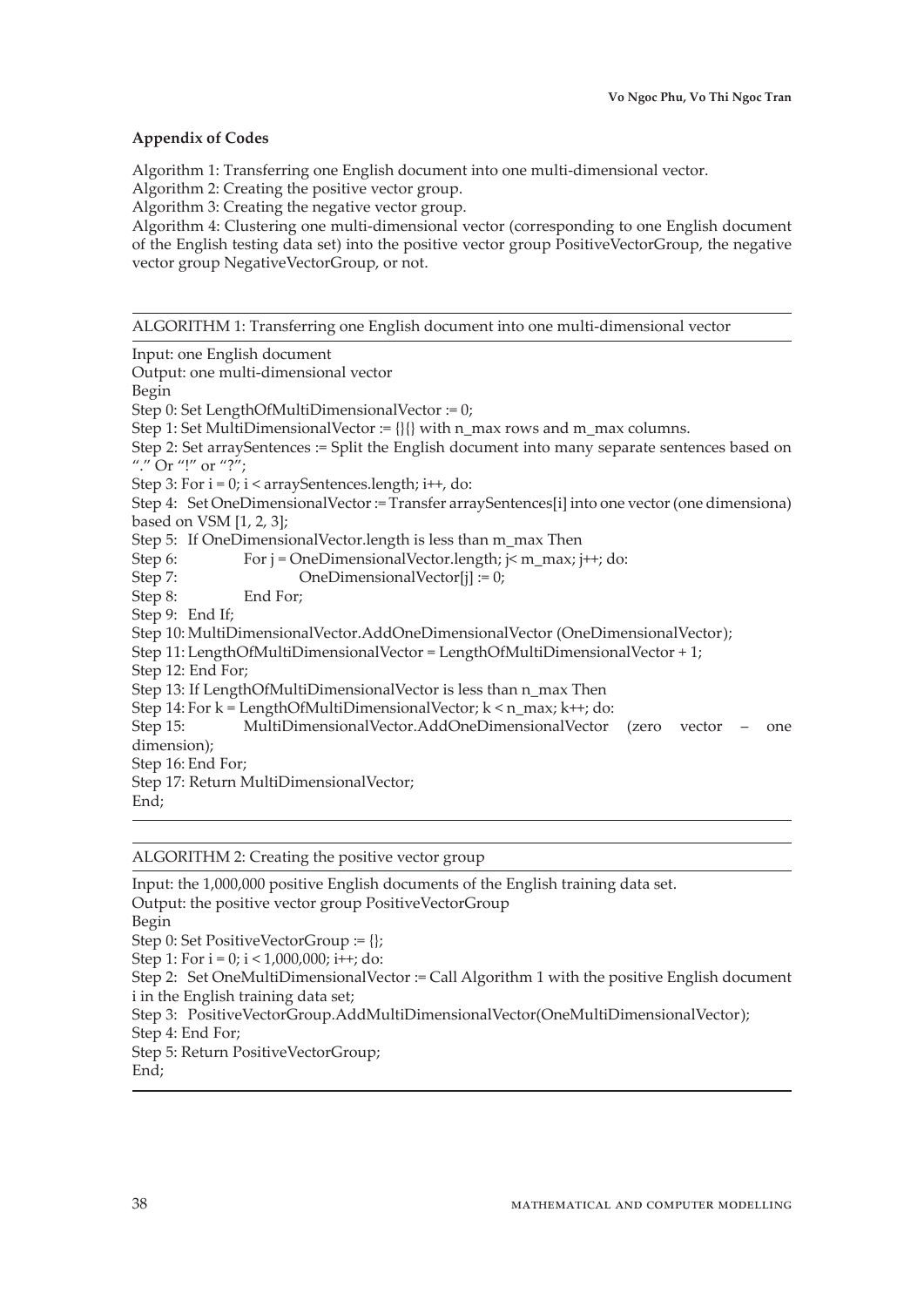## **Appendix of Codes**

Algorithm 1: Transferring one English document into one multi-dimensional vector.

Algorithm 2: Creating the positive vector group.

Algorithm 3: Creating the negative vector group.

Algorithm 4: Clustering one multi-dimensional vector (corresponding to one English document of the English testing data set) into the positive vector group PositiveVectorGroup, the negative vector group NegativeVectorGroup, or not.

ALGORITHM 1: Transferring one English document into one multi-dimensional vector

Input: one English document Output: one multi-dimensional vector Begin Step 0: Set LengthOfMultiDimensionalVector := 0; Step 1: Set MultiDimensionalVector :=  $\{\}\}$  with n\_max rows and m\_max columns. Step 2: Set arraySentences := Split the English document into many separate sentences based on "." Or "!" or "?"; Step 3: For  $i = 0$ ;  $i <$  arraySentences.length;  $i++$ , do: Step 4: Set OneDimensionalVector := Transfer arraySentences[i] into one vector (one dimensiona) based on VSM [1, 2, 3]; Step 5: If OneDimensionalVector.length is less than m\_max Then Step 6: For  $j = OneDimensionalVector.length$ ;  $j \le m_max$ ;  $j \ne +j$ ; do: Step 7: OneDimensionalVector[j] := 0; Step 8: End For; Step 9: End If; Step 10: MultiDimensionalVector.AddOneDimensionalVector (OneDimensionalVector); Step 11: LengthOfMultiDimensionalVector = LengthOfMultiDimensionalVector + 1; Step 12: End For; Step 13: If LengthOfMultiDimensionalVector is less than n\_max Then Step 14: For  $k =$  LengthOfMultiDimensionalVector;  $k < n$  max;  $k++$ ; do: Step 15: MultiDimensionalVector.AddOneDimensionalVector (zero vector – one dimension); Step 16: End For; Step 17: Return MultiDimensionalVector; End;

## ALGORITHM 2: Creating the positive vector group

Input: the 1,000,000 positive English documents of the English training data set. Output: the positive vector group PositiveVectorGroup Begin Step 0: Set PositiveVectorGroup := {}; Step 1: For  $i = 0$ ;  $i < 1,000,000$ ;  $i + j$ ; do: Step 2: Set OneMultiDimensionalVector := Call Algorithm 1 with the positive English document i in the English training data set; Step 3: PositiveVectorGroup.AddMultiDimensionalVector(OneMultiDimensionalVector); Step 4: End For; Step 5: Return PositiveVectorGroup; End;